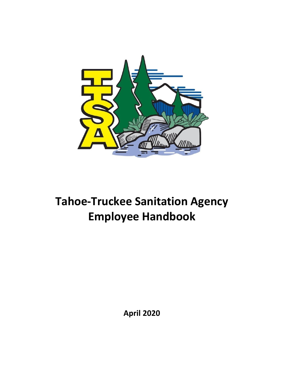

# **Tahoe-Truckee Sanitation Agency Employee Handbook**

**April 2020**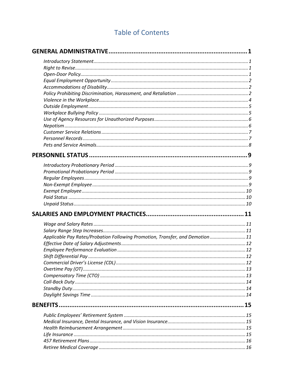# **Table of Contents**

| Applicable Pay Rates/Probation Following Promotion, Transfer, and Demotion 11 |  |
|-------------------------------------------------------------------------------|--|
|                                                                               |  |
|                                                                               |  |
|                                                                               |  |
|                                                                               |  |
|                                                                               |  |
|                                                                               |  |
|                                                                               |  |
|                                                                               |  |
|                                                                               |  |
| <b>BENEFITS</b>                                                               |  |
|                                                                               |  |
|                                                                               |  |
|                                                                               |  |
|                                                                               |  |
|                                                                               |  |
|                                                                               |  |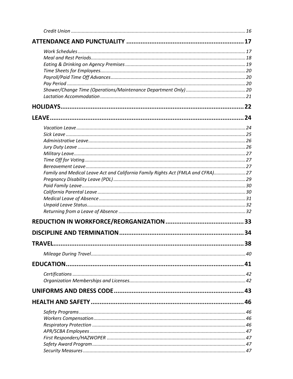| Family and Medical Leave Act and California Family Rights Act (FMLA and CFRA) 27 |    |
|----------------------------------------------------------------------------------|----|
|                                                                                  |    |
|                                                                                  |    |
|                                                                                  |    |
|                                                                                  |    |
|                                                                                  |    |
|                                                                                  |    |
|                                                                                  |    |
|                                                                                  | 34 |
|                                                                                  |    |
|                                                                                  |    |
|                                                                                  |    |
|                                                                                  |    |
|                                                                                  |    |
|                                                                                  |    |
|                                                                                  |    |
|                                                                                  |    |
|                                                                                  |    |
|                                                                                  |    |
|                                                                                  |    |
|                                                                                  |    |
|                                                                                  |    |
|                                                                                  |    |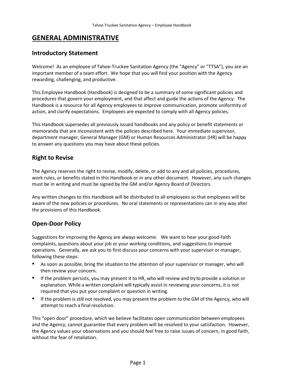# <span id="page-4-0"></span>**GENERAL ADMINISTRATIVE**

### <span id="page-4-1"></span>**Introductory Statement**

Welcome! As an employee of Tahoe-Truckee Sanitation Agency (the "Agency" or "TTSA"), you are an important member of a team effort. We hope that you will find your position with the Agency rewarding, challenging, and productive.

This Employee Handbook (Handbook) is designed to be a summary of some significant policies and procedures that govern your employment, and that affect and guide the actions of the Agency. The Handbook is a resource for all Agency employees to improve communication, promote uniformity of action, and clarify expectations. Employees are expected to comply with all Agency policies.

This Handbook supersedes all previously issued handbooks and any policy or benefit statements or memoranda that are inconsistent with the policies described here. Your immediate supervisor, department manager, General Manager (GM) or Human Resources Administrator (HR) will be happy to answer any questions you may have about these policies.

# <span id="page-4-2"></span>**Right to Revise**

The Agency reserves the right to revise, modify, delete, or add to any and all policies, procedures, work rules, or benefits stated in this Handbook or in any other document. However, any such changes must be in writing and must be signed by the GM and/or Agency Board of Directors.

Any written changes to this Handbook will be distributed to all employees so that employees will be aware of the new policies or procedures. No oral statements or representations can in any way alter the provisions of this Handbook.

# <span id="page-4-3"></span>**Open-Door Policy**

Suggestions for improving the Agency are always welcome. We want to hear your good-faith complaints, questions about your job or your working conditions, and suggestions to improve operations. Generally, we ask you to first discuss your concerns with your supervisor or manager, following these steps:

- As soon as possible, bring the situation to the attention of your supervisor or manager, who will then review your concern.
- If the problem persists, you may present it to HR, who will review and try to provide a solution or explanation. While a written complaint will typically assist in reviewing your concerns, it is not required that you put your complaint or question in writing.
- If the problem is still not resolved, you may present the problem to the GM of the Agency, who will attempt to reach a final resolution.

This "open door" procedure, which we believe facilitates open communication between employees and the Agency, cannot guarantee that every problem will be resolved to your satisfaction. However, the Agency values your observations and you should feel free to raise issues of concern, in good faith, without the fear of retaliation.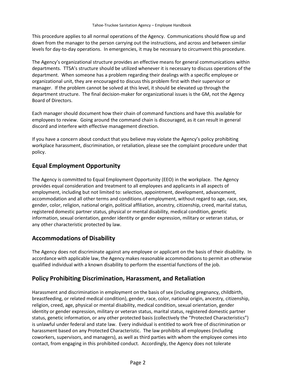This procedure applies to all normal operations of the Agency. Communications should flow up and down from the manager to the person carrying out the instructions, and across and between similar levels for day-to-day operations. In emergencies, it may be necessary to circumvent this procedure.

The Agency's organizational structure provides an effective means for general communications within departments. TTSA's structure should be utilized whenever it is necessary to discuss operations of the department. When someone has a problem regarding their dealings with a specific employee or organizational unit, they are encouraged to discuss this problem first with their supervisor or manager. If the problem cannot be solved at this level, it should be elevated up through the department structure. The final decision-maker for organizational issues is the GM, not the Agency Board of Directors.

Each manager should document how their chain of command functions and have this available for employees to review. Going around the command chain is discouraged, as it can result in general discord and interfere with effective management direction.

If you have a concern about conduct that you believe may violate the Agency's policy prohibiting workplace harassment, discrimination, or retaliation, please see the complaint procedure under that policy.

# <span id="page-5-0"></span>**Equal Employment Opportunity**

The Agency is committed to Equal Employment Opportunity (EEO) in the workplace. The Agency provides equal consideration and treatment to all employees and applicants in all aspects of employment, including but not limited to: selection, appointment, development, advancement, accommodation and all other terms and conditions of employment, without regard to age, race, sex, gender, color, religion, national origin, political affiliation, ancestry, citizenship, creed, marital status, registered domestic partner status, physical or mental disability, medical condition, genetic information, sexual orientation, gender identity or gender expression, military or veteran status, or any other characteristic protected by law.

# <span id="page-5-1"></span>**Accommodations of Disability**

The Agency does not discriminate against any employee or applicant on the basis of their disability. In accordance with applicable law, the Agency makes reasonable accommodations to permit an otherwise qualified individual with a known disability to perform the essential functions of the job.

# <span id="page-5-2"></span>**Policy Prohibiting Discrimination, Harassment, and Retaliation**

Harassment and discrimination in employment on the basis of sex (including pregnancy, childbirth, breastfeeding, or related medical condition), gender, race, color, national origin, ancestry, citizenship, religion, creed, age, physical or mental disability, medical condition, sexual orientation, gender identity or gender expression, military or veteran status, marital status, registered domestic partner status, genetic information, or any other protected basis (collectively the "Protected Characteristics") is unlawful under federal and state law. Every individual is entitled to work free of discrimination or harassment based on any Protected Characteristic. The law prohibits all employees (including coworkers, supervisors, and managers), as well as third parties with whom the employee comes into contact, from engaging in this prohibited conduct. Accordingly, the Agency does not tolerate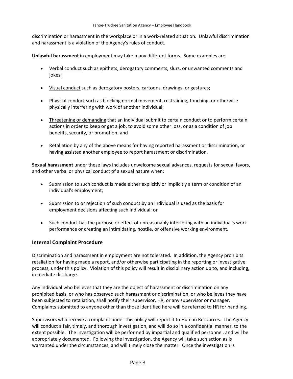discrimination or harassment in the workplace or in a work-related situation. Unlawful discrimination and harassment is a violation of the Agency's rules of conduct.

**Unlawful harassment** in employment may take many different forms. Some examples are:

- Verbal conduct such as epithets, derogatory comments, slurs, or unwanted comments and jokes;
- Visual conduct such as derogatory posters, cartoons, drawings, or gestures;
- Physical conduct such as blocking normal movement, restraining, touching, or otherwise physically interfering with work of another individual;
- Threatening or demanding that an individual submit to certain conduct or to perform certain actions in order to keep or get a job, to avoid some other loss, or as a condition of job benefits, security, or promotion; and
- Retaliation by any of the above means for having reported harassment or discrimination, or having assisted another employee to report harassment or discrimination.

**Sexual harassment** under these laws includes unwelcome sexual advances, requests for sexual favors, and other verbal or physical conduct of a sexual nature when:

- Submission to such conduct is made either explicitly or implicitly a term or condition of an individual's employment;
- Submission to or rejection of such conduct by an individual is used as the basis for employment decisions affecting such individual; or
- Such conduct has the purpose or effect of unreasonably interfering with an individual's work performance or creating an intimidating, hostile, or offensive working environment.

#### **Internal Complaint Procedure**

Discrimination and harassment in employment are not tolerated. In addition, the Agency prohibits retaliation for having made a report, and/or otherwise participating in the reporting or investigative process, under this policy. Violation of this policy will result in disciplinary action up to, and including, immediate discharge.

Any individual who believes that they are the object of harassment or discrimination on any prohibited basis, or who has observed such harassment or discrimination, or who believes they have been subjected to retaliation, shall notify their supervisor, HR, or any supervisor or manager. Complaints submitted to anyone other than those identified here will be referred to HR for handling.

Supervisors who receive a complaint under this policy will report it to Human Resources. The Agency will conduct a fair, timely, and thorough investigation, and will do so in a confidential manner, to the extent possible. The investigation will be performed by impartial and qualified personnel, and will be appropriately documented. Following the investigation, the Agency will take such action as is warranted under the circumstances, and will timely close the matter. Once the investigation is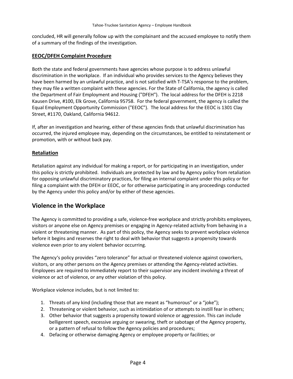concluded, HR will generally follow up with the complainant and the accused employee to notify them of a summary of the findings of the investigation.

#### **EEOC/DFEH Complaint Procedure**

Both the state and federal governments have agencies whose purpose is to address unlawful discrimination in the workplace. If an individual who provides services to the Agency believes they have been harmed by an unlawful practice, and is not satisfied with T-TSA's response to the problem, they may file a written complaint with these agencies. For the State of California, the agency is called the Department of Fair Employment and Housing ("DFEH"). The local address for the DFEH is 2218 Kausen Drive, #100, Elk Grove, California 95758. For the federal government, the agency is called the Equal Employment Opportunity Commission ("EEOC"). The local address for the EEOC is 1301 Clay Street, #1170, Oakland, California 94612.

If, after an investigation and hearing, either of these agencies finds that unlawful discrimination has occurred, the injured employee may, depending on the circumstances, be entitled to reinstatement or promotion, with or without back pay.

#### **Retaliation**

Retaliation against any individual for making a report, or for participating in an investigation, under this policy is strictly prohibited. Individuals are protected by law and by Agency policy from retaliation for opposing unlawful discriminatory practices, for filing an internal complaint under this policy or for filing a complaint with the DFEH or EEOC, or for otherwise participating in any proceedings conducted by the Agency under this policy and/or by either of these agencies.

#### <span id="page-7-0"></span>**Violence in the Workplace**

The Agency is committed to providing a safe, violence-free workplace and strictly prohibits employees, visitors or anyone else on Agency premises or engaging in Agency-related activity from behaving in a violent or threatening manner. As part of this policy, the Agency seeks to prevent workplace violence before it begins and reserves the right to deal with behavior that suggests a propensity towards violence even prior to any violent behavior occurring.

The Agency's policy provides "zero tolerance" for actual or threatened violence against coworkers, visitors, or any other persons on the Agency premises or attending the Agency-related activities. Employees are required to immediately report to their supervisor any incident involving a threat of violence or act of violence, or any other violation of this policy.

Workplace violence includes, but is not limited to:

- 1. Threats of any kind (including those that are meant as "humorous" or a "joke");
- 2. Threatening or violent behavior, such as intimidation of or attempts to instill fear in others;
- 3. Other behavior that suggests a propensity toward violence or aggression. This can include belligerent speech, excessive arguing or swearing, theft or sabotage of the Agency property, or a pattern of refusal to follow the Agency policies and procedures;
- 4. Defacing or otherwise damaging Agency or employee property or facilities; or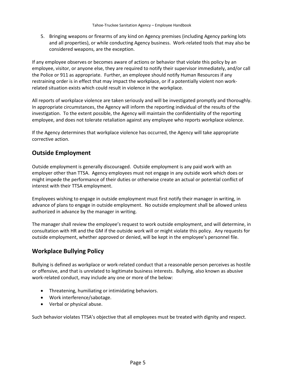5. Bringing weapons or firearms of any kind on Agency premises (including Agency parking lots and all properties), or while conducting Agency business. Work-related tools that may also be considered weapons, are the exception.

If any employee observes or becomes aware of actions or behavior that violate this policy by an employee, visitor, or anyone else, they are required to notify their supervisor immediately, and/or call the Police or 911 as appropriate. Further, an employee should notify Human Resources if any restraining order is in effect that may impact the workplace, or if a potentially violent non workrelated situation exists which could result in violence in the workplace.

All reports of workplace violence are taken seriously and will be investigated promptly and thoroughly. In appropriate circumstances, the Agency will inform the reporting individual of the results of the investigation. To the extent possible, the Agency will maintain the confidentiality of the reporting employee, and does not tolerate retaliation against any employee who reports workplace violence.

If the Agency determines that workplace violence has occurred, the Agency will take appropriate corrective action.

# <span id="page-8-0"></span>**Outside Employment**

Outside employment is generally discouraged. Outside employment is any paid work with an employer other than TTSA. Agency employees must not engage in any outside work which does or might impede the performance of their duties or otherwise create an actual or potential conflict of interest with their TTSA employment.

Employees wishing to engage in outside employment must first notify their manager in writing, in advance of plans to engage in outside employment. No outside employment shall be allowed unless authorized in advance by the manager in writing.

The manager shall review the employee's request to work outside employment, and will determine, in consultation with HR and the GM if the outside work will or might violate this policy. Any requests for outside employment, whether approved or denied, will be kept in the employee's personnel file.

# <span id="page-8-1"></span>**Workplace Bullying Policy**

Bullying is defined as workplace or work-related conduct that a reasonable person perceives as hostile or offensive, and that is unrelated to legitimate business interests. Bullying, also known as abusive work-related conduct, may include any one or more of the below:

- Threatening, humiliating or intimidating behaviors.
- Work interference/sabotage.
- Verbal or physical abuse.

Such behavior violates TTSA's objective that all employees must be treated with dignity and respect.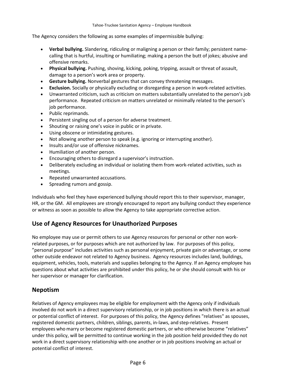The Agency considers the following as some examples of impermissible bullying:

- **Verbal bullying.** Slandering, ridiculing or maligning a person or their family; persistent namecalling that is hurtful, insulting or humiliating; making a person the butt of jokes; abusive and offensive remarks.
- **Physical bullying.** Pushing, shoving, kicking, poking, tripping, assault or threat of assault, damage to a person's work area or property.
- **Gesture bullying.** Nonverbal gestures that can convey threatening messages.
- **Exclusion.** Socially or physically excluding or disregarding a person in work-related activities.
- Unwarranted criticism, such as criticism on matters substantially unrelated to the person's job performance. Repeated criticism on matters unrelated or minimally related to the person's job performance.
- Public reprimands.
- Persistent singling out of a person for adverse treatment.
- Shouting or raising one's voice in public or in private.
- Using obscene or intimidating gestures.
- Not allowing another person to speak (e.g. ignoring or interrupting another).
- Insults and/or use of offensive nicknames.
- Humiliation of another person.
- Encouraging others to disregard a supervisor's instruction.
- Deliberately excluding an individual or isolating them from work-related activities, such as meetings.
- Repeated unwarranted accusations.
- Spreading rumors and gossip.

Individuals who feel they have experienced bullying should report this to their supervisor, manager, HR, or the GM. All employees are strongly encouraged to report any bullying conduct they experience or witness as soon as possible to allow the Agency to take appropriate corrective action.

### <span id="page-9-0"></span>**Use of Agency Resources for Unauthorized Purposes**

No employee may use or permit others to use Agency resources for personal or other non workrelated purposes, or for purposes which are not authorized by law. For purposes of this policy, "personal purpose" includes activities such as personal enjoyment, private gain or advantage, or some other outside endeavor not related to Agency business. Agency resources includes land, buildings, equipment, vehicles, tools, materials and supplies belonging to the Agency. If an Agency employee has questions about what activities are prohibited under this policy, he or she should consult with his or her supervisor or manager for clarification.

#### <span id="page-9-1"></span>**Nepotism**

Relatives of Agency employees may be eligible for employment with the Agency only if individuals involved do not work in a direct supervisory relationship, or in job positions in which there is an actual or potential conflict of interest. For purposes of this policy, the Agency defines "relatives" as spouses, registered domestic partners, children, siblings, parents, in-laws, and step-relatives. Present employees who marry or become registered domestic partners, or who otherwise become "relatives" under this policy, will be permitted to continue working in the job position held provided they do not work in a direct supervisory relationship with one another or in job positions involving an actual or potential conflict of interest.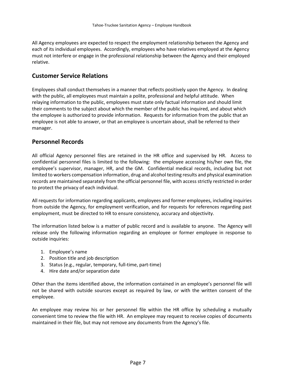All Agency employees are expected to respect the employment relationship between the Agency and each of its individual employees. Accordingly, employees who have relatives employed at the Agency must not interfere or engage in the professional relationship between the Agency and their employed relative.

#### <span id="page-10-0"></span>**Customer Service Relations**

Employees shall conduct themselves in a manner that reflects positively upon the Agency. In dealing with the public, all employees must maintain a polite, professional and helpful attitude. When relaying information to the public, employees must state only factual information and should limit their comments to the subject about which the member of the public has inquired, and about which the employee is authorized to provide information. Requests for information from the public that an employee is not able to answer, or that an employee is uncertain about, shall be referred to their manager.

### <span id="page-10-1"></span>**Personnel Records**

All official Agency personnel files are retained in the HR office and supervised by HR. Access to confidential personnel files is limited to the following: the employee accessing his/her own file, the employee's supervisor, manager, HR, and the GM. Confidential medical records, including but not limited to workers compensation information, drug and alcohol testing results and physical examination records are maintained separately from the official personnel file, with access strictly restricted in order to protect the privacy of each individual.

All requests for information regarding applicants, employees and former employees, including inquiries from outside the Agency, for employment verification, and for requests for references regarding past employment, must be directed to HR to ensure consistency, accuracy and objectivity.

The information listed below is a matter of public record and is available to anyone. The Agency will release only the following information regarding an employee or former employee in response to outside inquiries:

- 1. Employee's name
- 2. Position title and job description
- 3. Status (e.g., regular, temporary, full-time, part-time)
- 4. Hire date and/or separation date

Other than the items identified above, the information contained in an employee's personnel file will not be shared with outside sources except as required by law, or with the written consent of the employee.

An employee may review his or her personnel file within the HR office by scheduling a mutually convenient time to review the file with HR. An employee may request to receive copies of documents maintained in their file, but may not remove any documents from the Agency's file.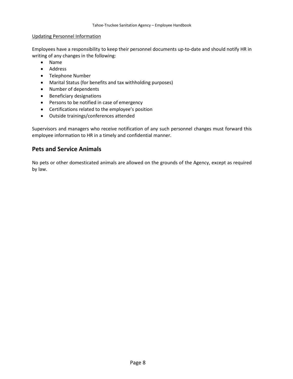#### Updating Personnel Information

Employees have a responsibility to keep their personnel documents up-to-date and should notify HR in writing of any changes in the following:

- Name
- Address
- Telephone Number
- Marital Status (for benefits and tax withholding purposes)
- Number of dependents
- Beneficiary designations
- Persons to be notified in case of emergency
- Certifications related to the employee's position
- Outside trainings/conferences attended

Supervisors and managers who receive notification of any such personnel changes must forward this employee information to HR in a timely and confidential manner.

#### <span id="page-11-0"></span>**Pets and Service Animals**

No pets or other domesticated animals are allowed on the grounds of the Agency, except as required by law.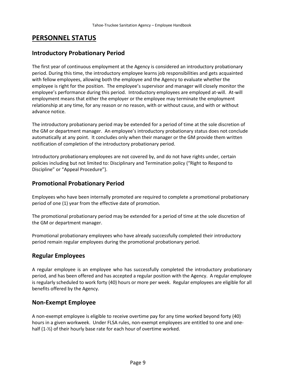# <span id="page-12-0"></span>**PERSONNEL STATUS**

### <span id="page-12-1"></span>**Introductory Probationary Period**

The first year of continuous employment at the Agency is considered an introductory probationary period. During this time, the introductory employee learns job responsibilities and gets acquainted with fellow employees, allowing both the employee and the Agency to evaluate whether the employee is right for the position. The employee's supervisor and manager will closely monitor the employee's performance during this period. Introductory employees are employed at-will. At-will employment means that either the employer or the employee may terminate the employment relationship at any time, for any reason or no reason, with or without cause, and with or without advance notice.

The introductory probationary period may be extended for a period of time at the sole discretion of the GM or department manager. An employee's introductory probationary status does not conclude automatically at any point. It concludes only when their manager or the GM provide them written notification of completion of the introductory probationary period.

Introductory probationary employees are not covered by, and do not have rights under, certain policies including but not limited to: Disciplinary and Termination policy ("Right to Respond to Discipline" or "Appeal Procedure").

### <span id="page-12-2"></span>**Promotional Probationary Period**

Employees who have been internally promoted are required to complete a promotional probationary period of one (1) year from the effective date of promotion.

The promotional probationary period may be extended for a period of time at the sole discretion of the GM or department manager.

Promotional probationary employees who have already successfully completed their introductory period remain regular employees during the promotional probationary period.

### <span id="page-12-3"></span>**Regular Employees**

A regular employee is an employee who has successfully completed the introductory probationary period, and has been offered and has accepted a regular position with the Agency. A regular employee is regularly scheduled to work forty (40) hours or more per week. Regular employees are eligible for all benefits offered by the Agency.

#### <span id="page-12-4"></span>**Non-Exempt Employee**

A non-exempt employee is eligible to receive overtime pay for any time worked beyond forty (40) hours in a given workweek. Under FLSA rules, non-exempt employees are entitled to one and onehalf (1-½) of their hourly base rate for each hour of overtime worked.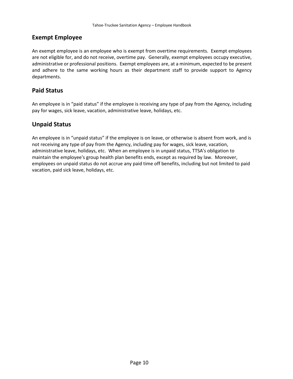### <span id="page-13-0"></span>**Exempt Employee**

An exempt employee is an employee who is exempt from overtime requirements. Exempt employees are not eligible for, and do not receive, overtime pay. Generally, exempt employees occupy executive, administrative or professional positions. Exempt employees are, at a minimum, expected to be present and adhere to the same working hours as their department staff to provide support to Agency departments.

### <span id="page-13-1"></span>**Paid Status**

An employee is in "paid status" if the employee is receiving any type of pay from the Agency, including pay for wages, sick leave, vacation, administrative leave, holidays, etc.

# <span id="page-13-2"></span>**Unpaid Status**

An employee is in "unpaid status" if the employee is on leave, or otherwise is absent from work, and is not receiving any type of pay from the Agency, including pay for wages, sick leave, vacation, administrative leave, holidays, etc. When an employee is in unpaid status, TTSA's obligation to maintain the employee's group health plan benefits ends, except as required by law. Moreover, employees on unpaid status do not accrue any paid time off benefits, including but not limited to paid vacation, paid sick leave, holidays, etc.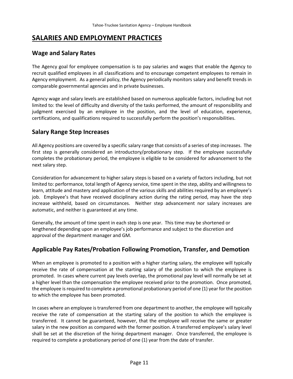# <span id="page-14-0"></span>**SALARIES AND EMPLOYMENT PRACTICES**

### <span id="page-14-1"></span>**Wage and Salary Rates**

The Agency goal for employee compensation is to pay salaries and wages that enable the Agency to recruit qualified employees in all classifications and to encourage competent employees to remain in Agency employment. As a general policy, the Agency periodically monitors salary and benefit trends in comparable governmental agencies and in private businesses.

Agency wage and salary levels are established based on numerous applicable factors, including but not limited to: the level of difficulty and diversity of the tasks performed, the amount of responsibility and judgment exercised by an employee in the position, and the level of education, experience, certifications, and qualifications required to successfully perform the position's responsibilities.

# <span id="page-14-2"></span>**Salary Range Step Increases**

All Agency positions are covered by a specific salary range that consists of a series of step increases. The first step is generally considered an introductory/probationary step. If the employee successfully completes the probationary period, the employee is eligible to be considered for advancement to the next salary step.

Consideration for advancement to higher salary steps is based on a variety of factors including, but not limited to: performance, total length of Agency service, time spent in the step, ability and willingness to learn, attitude and mastery and application of the various skills and abilities required by an employee's job. Employee's that have received disciplinary action during the rating period, may have the step increase withheld, based on circumstances. Neither step advancement nor salary increases are automatic, and neither is guaranteed at any time.

Generally, the amount of time spent in each step is one year. This time may be shortened or lengthened depending upon an employee's job performance and subject to the discretion and approval of the department manager and GM.

# <span id="page-14-3"></span>**Applicable Pay Rates/Probation Following Promotion, Transfer, and Demotion**

When an employee is promoted to a position with a higher starting salary, the employee will typically receive the rate of compensation at the starting salary of the position to which the employee is promoted. In cases where current pay levels overlap, the promotional pay level will normally be set at a higher level than the compensation the employee received prior to the promotion. Once promoted, the employee is required to complete a promotional probationary period of one (1) year for the position to which the employee has been promoted.

In cases where an employee is transferred from one department to another, the employee will typically receive the rate of compensation at the starting salary of the position to which the employee is transferred. It cannot be guaranteed, however, that the employee will receive the same or greater salary in the new position as compared with the former position. A transferred employee's salary level shall be set at the discretion of the hiring department manager. Once transferred, the employee is required to complete a probationary period of one (1) year from the date of transfer.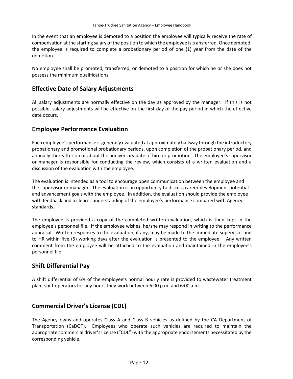In the event that an employee is demoted to a position the employee will typically receive the rate of compensation at the starting salary of the position to which the employee is transferred. Once demoted, the employee is required to complete a probationary period of one (1) year from the date of the demotion.

No employee shall be promoted, transferred, or demoted to a position for which he or she does not possess the minimum qualifications.

#### <span id="page-15-0"></span>**Effective Date of Salary Adjustments**

All salary adjustments are normally effective on the day as approved by the manager. If this is not possible, salary adjustments will be effective on the first day of the pay period in which the effective date occurs.

#### <span id="page-15-1"></span>**Employee Performance Evaluation**

Each employee's performance is generally evaluated at approximately halfway through the introductory probationary and promotional probationary periods, upon completion of the probationary period, and annually thereafter on or about the anniversary date of hire or promotion. The employee's supervisor or manager is responsible for conducting the review, which consists of a written evaluation and a discussion of the evaluation with the employee.

The evaluation is intended as a tool to encourage open communication between the employee and the supervisor or manager. The evaluation is an opportunity to discuss career development potential and advancement goals with the employee. In addition, the evaluation should provide the employee with feedback and a clearer understanding of the employee's performance compared with Agency standards.

The employee is provided a copy of the completed written evaluation, which is then kept in the employee's personnel file. If the employee wishes, he/she may respond in writing to the performance appraisal. Written responses to the evaluation, if any, may be made to the immediate supervisor and to HR within five (5) working days after the evaluation is presented to the employee. Any written comment from the employee will be attached to the evaluation and maintained in the employee's personnel file.

### <span id="page-15-2"></span>**Shift Differential Pay**

A shift differential of 6% of the employee's normal hourly rate is provided to wastewater treatment plant shift operators for any hours they work between 6:00 p.m. and 6:00 a.m.

### <span id="page-15-3"></span>**Commercial Driver's License (CDL)**

The Agency owns and operates Class A and Class B vehicles as defined by the CA Department of Transportation (CaDOT). Employees who operate such vehicles are required to maintain the appropriate commercial driver's license ("CDL") with the appropriate endorsements necessitated by the corresponding vehicle.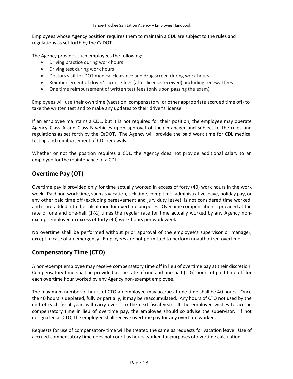Employees whose Agency position requires them to maintain a CDL are subject to the rules and regulations as set forth by the CaDOT.

The Agency provides such employees the following:

- Driving practice during work hours
- Driving test during work hours
- Doctors visit for DOT medical clearance and drug screen during work hours
- Reimbursement of driver's license fees (after license received), including renewal fees
- One time reimbursement of written test fees (only upon passing the exam)

Employees will use their own time (vacation, compensatory, or other appropriate accrued time off) to take the written test and to make any updates to their driver's license.

If an employee maintains a CDL, but it is not required for their position, the employee may operate Agency Class A and Class B vehicles upon approval of their manager and subject to the rules and regulations as set forth by the CaDOT. The Agency will provide the paid work time for CDL medical testing and reimbursement of CDL renewals.

Whether or not the position requires a CDL, the Agency does not provide additional salary to an employee for the maintenance of a CDL.

# <span id="page-16-0"></span>**Overtime Pay (OT)**

Overtime pay is provided only for time actually worked in excess of forty (40) work hours in the work week. Paid non-work time, such as vacation, sick time, comp time, administrative leave, holiday pay, or any other paid time off (excluding bereavement and jury duty leave), is not considered time worked, and is not added into the calculation for overtime purposes. Overtime compensation is provided at the rate of one and one-half (1-½) times the regular rate for time actually worked by any Agency nonexempt employee in excess of forty (40) work hours per work week.

No overtime shall be performed without prior approval of the employee's supervisor or manager, except in case of an emergency. Employees are not permitted to perform unauthorized overtime.

# <span id="page-16-1"></span>**Compensatory Time (CTO)**

A non-exempt employee may receive compensatory time off in lieu of overtime pay at their discretion. Compensatory time shall be provided at the rate of one and one-half (1-½) hours of paid time off for each overtime hour worked by any Agency non-exempt employee.

The maximum number of hours of CTO an employee may accrue at one time shall be 40 hours. Once the 40 hours is depleted, fully or partially, it may be reaccumulated. Any hours of CTO not used by the end of each fiscal year, will carry over into the next fiscal year. If the employee wishes to accrue compensatory time in lieu of overtime pay, the employee should so advise the supervisor. If not designated as CTO, the employee shall receive overtime pay for any overtime worked.

<span id="page-16-2"></span>Requests for use of compensatory time will be treated the same as requests for vacation leave. Use of accrued compensatory time does not count as hours worked for purposes of overtime calculation.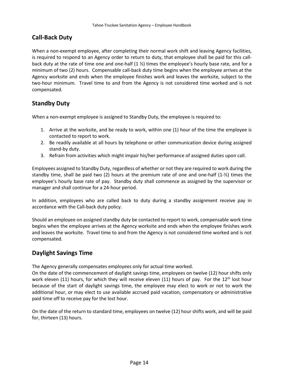# **Call-Back Duty**

When a non-exempt employee, after completing their normal work shift and leaving Agency facilities, is required to respond to an Agency order to return to duty, that employee shall be paid for this callback duty at the rate of time one and one-half  $(1 \frac{1}{2})$  times the employee's hourly base rate, and for a minimum of two (2) hours. Compensable call-back duty time begins when the employee arrives at the Agency worksite and ends when the employee finishes work and leaves the worksite, subject to the two-hour minimum. Travel time to and from the Agency is not considered time worked and is not compensated.

# <span id="page-17-0"></span>**Standby Duty**

When a non-exempt employee is assigned to Standby Duty, the employee is required to:

- 1. Arrive at the worksite, and be ready to work, within one (1) hour of the time the employee is contacted to report to work.
- 2. Be readily available at all hours by telephone or other communication device during assigned stand-by duty.
- 3. Refrain from activities which might impair his/her performance of assigned duties upon call.

Employees assigned to Standby Duty, regardless of whether or not they are required to work during the standby time, shall be paid two (2) hours at the premium rate of one and one-half (1-½) times the employee's hourly base rate of pay. Standby duty shall commence as assigned by the supervisor or manager and shall continue for a 24-hour period.

In addition, employees who are called back to duty during a standby assignment receive pay in accordance with the Call-back duty policy.

Should an employee on assigned standby duty be contacted to report to work, compensable work time begins when the employee arrives at the Agency worksite and ends when the employee finishes work and leaves the worksite. Travel time to and from the Agency is not considered time worked and is not compensated.

#### <span id="page-17-1"></span>**Daylight Savings Time**

The Agency generally compensates employees only for actual time worked.

On the date of the commencement of daylight savings time, employees on twelve (12) hour shifts only work eleven (11) hours, for which they will receive eleven (11) hours of pay. For the  $12<sup>th</sup>$  lost hour because of the start of daylight savings time, the employee may elect to work or not to work the additional hour, or may elect to use available accrued paid vacation, compensatory or administrative paid time off to receive pay for the lost hour.

On the date of the return to standard time, employees on twelve (12) hour shifts work, and will be paid for, thirteen (13) hours.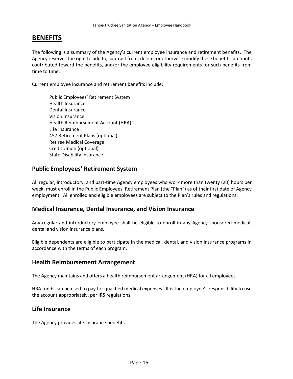# <span id="page-18-0"></span>**BENEFITS**

The following is a summary of the Agency's current employee insurance and retirement benefits. The Agency reserves the right to add to, subtract from, delete, or otherwise modify these benefits, amounts contributed toward the benefits, and/or the employee eligibility requirements for such benefits from time to time.

Current employee insurance and retirement benefits include:

Public Employees' Retirement System Health Insurance Dental Insurance Vision Insurance Health Reimbursement Account (HRA) Life Insurance 457 Retirement Plans (optional) Retiree Medical Coverage Credit Union (optional) State Disability Insurance

### <span id="page-18-1"></span>**Public Employees' Retirement System**

All regular, introductory, and part-time Agency employees who work more than twenty (20) hours per week, must enroll in the Public Employees' Retirement Plan (the "Plan") as of their first date of Agency employment. All enrolled and eligible employees are subject to the Plan's rules and regulations.

#### <span id="page-18-2"></span>**Medical Insurance, Dental Insurance, and Vision Insurance**

Any regular and introductory employee shall be eligible to enroll in any Agency-sponsored medical, dental and vision insurance plans.

Eligible dependents are eligible to participate in the medical, dental, and vision insurance programs in accordance with the terms of each program.

#### <span id="page-18-3"></span>**Health Reimbursement Arrangement**

The Agency maintains and offers a health reimbursement arrangement (HRA) for all employees.

HRA funds can be used to pay for qualified medical expenses. It is the employee's responsibility to use the account appropriately, per IRS regulations.

#### <span id="page-18-4"></span>**Life Insurance**

The Agency provides life insurance benefits.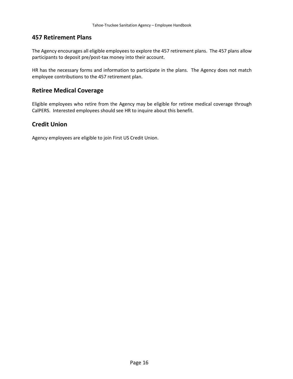#### <span id="page-19-0"></span>**457 Retirement Plans**

The Agency encourages all eligible employees to explore the 457 retirement plans. The 457 plans allow participants to deposit pre/post-tax money into their account.

HR has the necessary forms and information to participate in the plans. The Agency does not match employee contributions to the 457 retirement plan.

#### <span id="page-19-1"></span>**Retiree Medical Coverage**

Eligible employees who retire from the Agency may be eligible for retiree medical coverage through CalPERS. Interested employees should see HR to inquire about this benefit.

### <span id="page-19-2"></span>**Credit Union**

Agency employees are eligible to join First US Credit Union.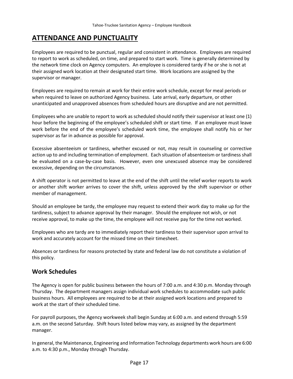# <span id="page-20-0"></span>**ATTENDANCE AND PUNCTUALITY**

Employees are required to be punctual, regular and consistent in attendance. Employees are required to report to work as scheduled, on time, and prepared to start work. Time is generally determined by the network time clock on Agency computers. An employee is considered tardy if he or she is not at their assigned work location at their designated start time. Work locations are assigned by the supervisor or manager.

Employees are required to remain at work for their entire work schedule, except for meal periods or when required to leave on authorized Agency business. Late arrival, early departure, or other unanticipated and unapproved absences from scheduled hours are disruptive and are not permitted.

Employees who are unable to report to work as scheduled should notify their supervisor at least one (1) hour before the beginning of the employee's scheduled shift or start time. If an employee must leave work before the end of the employee's scheduled work time, the employee shall notify his or her supervisor as far in advance as possible for approval.

Excessive absenteeism or tardiness, whether excused or not, may result in counseling or corrective action up to and including termination of employment. Each situation of absenteeism or tardiness shall be evaluated on a case-by-case basis. However, even one unexcused absence may be considered excessive, depending on the circumstances.

A shift operator is not permitted to leave at the end of the shift until the relief worker reports to work or another shift worker arrives to cover the shift, unless approved by the shift supervisor or other member of management.

Should an employee be tardy, the employee may request to extend their work day to make up for the tardiness, subject to advance approval by their manager. Should the employee not wish, or not receive approval, to make up the time, the employee will not receive pay for the time not worked.

Employees who are tardy are to immediately report their tardiness to their supervisor upon arrival to work and accurately account for the missed time on their timesheet.

Absences or tardiness for reasons protected by state and federal law do not constitute a violation of this policy.

### <span id="page-20-1"></span>**Work Schedules**

The Agency is open for public business between the hours of 7:00 a.m. and 4:30 p.m. Monday through Thursday. The department managers assign individual work schedules to accommodate such public business hours. All employees are required to be at their assigned work locations and prepared to work at the start of their scheduled time.

For payroll purposes, the Agency workweek shall begin Sunday at 6:00 a.m. and extend through 5:59 a.m. on the second Saturday. Shift hours listed below may vary, as assigned by the department manager.

In general, the Maintenance, Engineering and Information Technology departments work hours are 6:00 a.m. to 4:30 p.m., Monday through Thursday.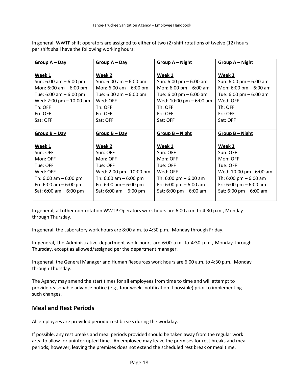In general, WWTP shift operators are assigned to either of two (2) shift rotations of twelve (12) hours per shift shall have the following working hours:

| Group $A - Day$           | Group $A - Day$           | Group A - Night                          | Group A - Night                          |
|---------------------------|---------------------------|------------------------------------------|------------------------------------------|
|                           |                           |                                          |                                          |
| Week 1                    | Week 2                    | Week 1                                   | Week 2                                   |
| Sun: $6:00$ am $-6:00$ pm | Sun: $6:00$ am $-6:00$ pm | Sun: $6:00 \text{ pm} - 6:00 \text{ am}$ | Sun: $6:00 \text{ pm} - 6:00 \text{ am}$ |
| Mon: $6:00$ am $-6:00$ pm | Mon: $6:00$ am $-6:00$ pm | Mon: $6:00 \text{ pm} - 6:00 \text{ am}$ | Mon: $6:00 \text{ pm} - 6:00 \text{ am}$ |
| Tue: 6:00 am - 6:00 pm    | Tue: 6:00 am - 6:00 pm    | Tue: $6:00 \text{ pm} - 6:00 \text{ am}$ | Tue: 6:00 pm - 6:00 am                   |
| Wed: 2:00 pm - 10:00 pm   | Wed: OFF                  | Wed: 10:00 pm - 6:00 am                  | Wed: OFF                                 |
| Th: OFF                   | Th: OFF                   | Th: OFF                                  | Th: OFF                                  |
| Fri: OFF                  | Fri: OFF                  | Fri: OFF                                 | Fri: OFF                                 |
| Sat: OFF                  | Sat: OFF                  | Sat: OFF                                 | Sat: OFF                                 |
|                           |                           |                                          |                                          |
| $Group B-Day$             |                           |                                          |                                          |
|                           | $Group B-Day$             | Group $B - Night$                        | Group B - Night                          |
|                           |                           |                                          |                                          |
| Week 1                    | Week 2                    | Week 1                                   | Week 2                                   |
| Sun: OFF                  | Sun: OFF                  | Sun: OFF                                 | Sun: OFF                                 |
| Mon: OFF                  | Mon: OFF                  | Mon: OFF                                 | Mon: OFF                                 |
| Tue: OFF                  | Tue: OFF                  | Tue: OFF                                 | Tue: OFF                                 |
| Wed: OFF                  | Wed: 2:00 pm - 10:00 pm   | Wed: OFF                                 | Wed: 10:00 pm - 6:00 am                  |
| Th: $6:00$ am $-6:00$ pm  | Th: $6:00$ am $-6:00$ pm  | Th: 6:00 pm $-$ 6:00 am                  | Th: $6:00 \text{ pm} - 6:00 \text{ am}$  |
| Fri: $6:00$ am $-6:00$ pm | Fri: $6:00$ am $-6:00$ pm | Fri: $6:00 \text{ pm} - 6:00 \text{ am}$ | Fri: $6:00 \text{ pm} - 6:00 \text{ am}$ |
| Sat: $6:00$ am $-6:00$ pm | Sat: $6:00$ am $-6:00$ pm | Sat: $6:00 \text{ pm} - 6:00 \text{ am}$ | Sat: 6:00 pm - 6:00 am                   |

In general, all other non-rotation WWTP Operators work hours are 6:00 a.m. to 4:30 p.m., Monday through Thursday.

In general, the Laboratory work hours are 8:00 a.m. to 4:30 p.m., Monday through Friday.

In general, the Administrative department work hours are 6:00 a.m. to 4:30 p.m., Monday through Thursday, except as allowed/assigned per the department manager.

In general, the General Manager and Human Resources work hours are 6:00 a.m. to 4:30 p.m., Monday through Thursday.

The Agency may amend the start times for all employees from time to time and will attempt to provide reasonable advance notice (e.g., four weeks notification if possible) prior to implementing such changes.

# <span id="page-21-0"></span>**Meal and Rest Periods**

All employees are provided periodic rest breaks during the workday.

If possible, any rest breaks and meal periods provided should be taken away from the regular work area to allow for uninterrupted time. An employee may leave the premises for rest breaks and meal periods; however, leaving the premises does not extend the scheduled rest break or meal time.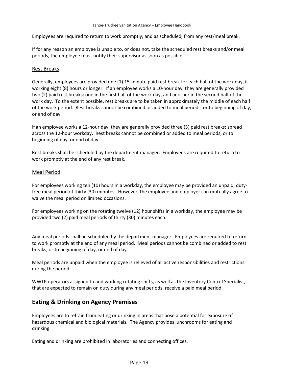Employees are required to return to work promptly, and as scheduled, from any rest/meal break.

If for any reason an employee is unable to, or does not, take the scheduled rest breaks and/or meal periods, the employee must notify their supervisor as soon as possible.

#### Rest Breaks

Generally, employees are provided one (1) 15-minute paid rest break for each half of the work day, if working eight (8) hours or longer. If an employee works a 10-hour day, they are generally provided two (2) paid rest breaks: one in the first half of the work day, and another in the second half of the work day. To the extent possible, rest breaks are to be taken in approximately the middle of each half of the work period. Rest breaks cannot be combined or added to meal periods, or to beginning of day, or end of day.

If an employee works a 12-hour day, they are generally provided three (3) paid rest breaks: spread across the 12-hour workday. Rest breaks cannot be combined or added to meal periods, or to beginning of day, or end of day.

Rest breaks shall be scheduled by the department manager. Employees are required to return to work promptly at the end of any rest break.

#### Meal Period

For employees working ten (10) hours in a workday, the employee may be provided an unpaid, dutyfree meal period of thirty (30) minutes. However, the employee and employer can mutually agree to waive the meal period on limited occasions.

For employees working on the rotating twelve (12) hour shifts in a workday, the employee may be provided two (2) paid meal periods of thirty (30) minutes each.

Any meal periods shall be scheduled by the department manager. Employees are required to return to work promptly at the end of any meal period. Meal periods cannot be combined or added to rest breaks, or to beginning of day, or end of day.

Meal periods are unpaid when the employee is relieved of all active responsibilities and restrictions during the period.

WWTP operators assigned to and working rotating shifts, as well as the Inventory Control Specialist, that are expected to remain on duty during any meal periods, receive a paid meal period.

### <span id="page-22-0"></span>**Eating & Drinking on Agency Premises**

Employees are to refrain from eating or drinking in areas that pose a potential for exposure of hazardous chemical and biological materials. The Agency provides lunchrooms for eating and drinking.

Eating and drinking are prohibited in laboratories and connecting offices.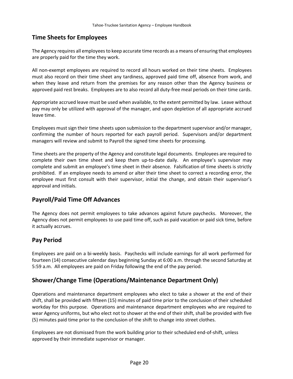### <span id="page-23-0"></span>**Time Sheets for Employees**

The Agency requires all employees to keep accurate time records as a means of ensuring that employees are properly paid for the time they work.

All non-exempt employees are required to record all hours worked on their time sheets. Employees must also record on their time sheet any tardiness, approved paid time off, absence from work, and when they leave and return from the premises for any reason other than the Agency business or approved paid rest breaks. Employees are to also record all duty-free meal periods on their time cards.

Appropriate accrued leave must be used when available, to the extent permitted by law. Leave without pay may only be utilized with approval of the manager, and upon depletion of all appropriate accrued leave time.

Employees must sign their time sheets upon submission to the department supervisor and/or manager, confirming the number of hours reported for each payroll period. Supervisors and/or department managers will review and submit to Payroll the signed time sheets for processing.

Time sheets are the property of the Agency and constitute legal documents. Employees are required to complete their own time sheet and keep them up-to-date daily. An employee's supervisor may complete and submit an employee's time sheet in their absence. Falsification of time sheets is strictly prohibited. If an employee needs to amend or alter their time sheet to correct a recording error, the employee must first consult with their supervisor, initial the change, and obtain their supervisor's approval and initials.

### <span id="page-23-1"></span>**Payroll/Paid Time Off Advances**

The Agency does not permit employees to take advances against future paychecks. Moreover, the Agency does not permit employees to use paid time off, such as paid vacation or paid sick time, before it actually accrues.

### <span id="page-23-2"></span>**Pay Period**

Employees are paid on a bi-weekly basis. Paychecks will include earnings for all work performed for fourteen (14) consecutive calendar days beginning Sunday at 6:00 a.m. through the second Saturday at 5:59 a.m. All employees are paid on Friday following the end of the pay period.

### <span id="page-23-3"></span>**Shower/Change Time (Operations/Maintenance Department Only)**

Operations and maintenance department employees who elect to take a shower at the end of their shift, shall be provided with fifteen (15) minutes of paid time prior to the conclusion of their scheduled workday for this purpose. Operations and maintenance department employees who are required to wear Agency uniforms, but who elect not to shower at the end of their shift, shall be provided with five (5) minutes paid time prior to the conclusion of the shift to change into street clothes.

Employees are not dismissed from the work building prior to their scheduled end-of-shift, unless approved by their immediate supervisor or manager.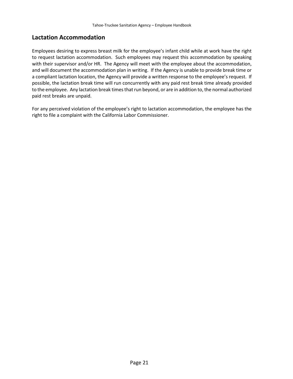### <span id="page-24-0"></span>**Lactation Accommodation**

Employees desiring to express breast milk for the employee's infant child while at work have the right to request lactation accommodation. Such employees may request this accommodation by speaking with their supervisor and/or HR. The Agency will meet with the employee about the accommodation, and will document the accommodation plan in writing. If the Agency is unable to provide break time or a compliant lactation location, the Agency will provide a written response to the employee's request. If possible, the lactation break time will run concurrently with any paid rest break time already provided to the employee. Any lactation break times that run beyond, or are in addition to, the normal authorized paid rest breaks are unpaid.

For any perceived violation of the employee's right to lactation accommodation, the employee has the right to file a complaint with the California Labor Commissioner.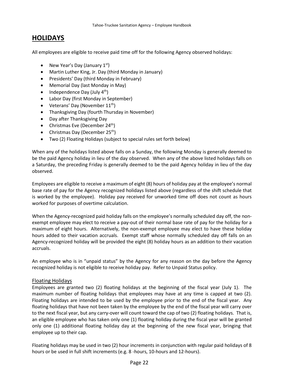# <span id="page-25-0"></span>**HOLIDAYS**

All employees are eligible to receive paid time off for the following Agency observed holidays:

- New Year's Day (January  $1<sup>st</sup>$ )
- Martin Luther King, Jr. Day (third Monday in January)
- Presidents' Day (third Monday in February)
- Memorial Day (last Monday in May)
- Independence Day (July  $4<sup>th</sup>$ )
- Labor Day (first Monday in September)
- Veterans' Day (November  $11<sup>th</sup>$ )
- Thanksgiving Day (fourth Thursday in November)
- Day after Thanksgiving Day
- Christmas Eve (December 24<sup>th</sup>)
- Christmas Day (December 25<sup>th</sup>)
- Two (2) Floating Holidays (subject to special rules set forth below)

When any of the holidays listed above falls on a Sunday, the following Monday is generally deemed to be the paid Agency holiday in lieu of the day observed. When any of the above listed holidays falls on a Saturday, the preceding Friday is generally deemed to be the paid Agency holiday in lieu of the day observed.

Employees are eligible to receive a maximum of eight (8) hours of holiday pay at the employee's normal base rate of pay for the Agency recognized holidays listed above (regardless of the shift schedule that is worked by the employee). Holiday pay received for unworked time off does not count as hours worked for purposes of overtime calculation.

When the Agency-recognized paid holiday falls on the employee's normally scheduled day off, the nonexempt employee may elect to receive a pay-out of their normal base rate of pay for the holiday for a maximum of eight hours. Alternatively, the non-exempt employee may elect to have these holiday hours added to their vacation accruals. Exempt staff whose normally scheduled day off falls on an Agency-recognized holiday will be provided the eight (8) holiday hours as an addition to their vacation accruals.

An employee who is in "unpaid status" by the Agency for any reason on the day before the Agency recognized holiday is not eligible to receive holiday pay. Refer to Unpaid Status policy.

#### Floating Holidays

Employees are granted two (2) floating holidays at the beginning of the fiscal year (July 1). The maximum number of floating holidays that employees may have at any time is capped at two (2). Floating holidays are intended to be used by the employee prior to the end of the fiscal year. Any floating holidays that have not been taken by the employee by the end of the fiscal year will carry over to the next fiscal year, but any carry-over will count toward the cap of two (2) floating holidays. That is, an eligible employee who has taken only one (1) floating holiday during the fiscal year will be granted only one (1) additional floating holiday day at the beginning of the new fiscal year, bringing that employee up to their cap.

Floating holidays may be used in two (2) hour increments in conjunction with regular paid holidays of 8 hours or be used in full shift increments (e.g. 8 -hours, 10-hours and 12-hours).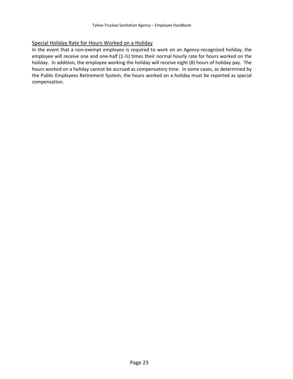#### Special Holiday Rate for Hours Worked on a Holiday

In the event that a non-exempt employee is required to work on an Agency-recognized holiday, the employee will receive one and one-half  $(1-\frac{1}{2})$  times their normal hourly rate for hours worked on the holiday. In addition, the employee working the holiday will receive eight (8) hours of holiday pay. The hours worked on a holiday cannot be accrued as compensatory time. In some cases, as determined by the Public Employees Retirement System, the hours worked on a holiday must be reported as special compensation.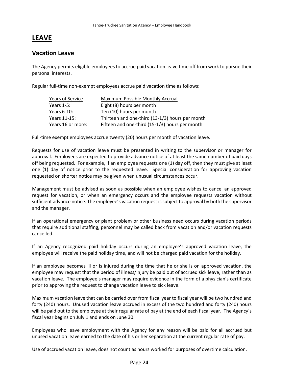# <span id="page-27-0"></span>**LEAVE**

### <span id="page-27-1"></span>**Vacation Leave**

The Agency permits eligible employees to accrue paid vacation leave time off from work to pursue their personal interests.

Regular full-time non-exempt employees accrue paid vacation time as follows:

| <b>Years of Service</b> | Maximum Possible Monthly Accrual                |
|-------------------------|-------------------------------------------------|
| Years $1-5$ :           | Eight (8) hours per month                       |
| Years 6-10:             | Ten (10) hours per month                        |
| Years 11-15:            | Thirteen and one-third (13-1/3) hours per month |
| Years 16 or more:       | Fifteen and one-third (15-1/3) hours per month  |

Full-time exempt employees accrue twenty (20) hours per month of vacation leave.

Requests for use of vacation leave must be presented in writing to the supervisor or manager for approval. Employees are expected to provide advance notice of at least the same number of paid days off being requested. For example, if an employee requests one (1) day off, then they must give at least one (1) day of notice prior to the requested leave. Special consideration for approving vacation requested on shorter notice may be given when unusual circumstances occur.

Management must be advised as soon as possible when an employee wishes to cancel an approved request for vacation, or when an emergency occurs and the employee requests vacation without sufficient advance notice. The employee's vacation request is subject to approval by both the supervisor and the manager.

If an operational emergency or plant problem or other business need occurs during vacation periods that require additional staffing, personnel may be called back from vacation and/or vacation requests cancelled.

If an Agency recognized paid holiday occurs during an employee's approved vacation leave, the employee will receive the paid holiday time, and will not be charged paid vacation for the holiday.

If an employee becomes ill or is injured during the time that he or she is on approved vacation, the employee may request that the period of illness/injury be paid out of accrued sick leave, rather than as vacation leave. The employee's manager may require evidence in the form of a physician's certificate prior to approving the request to change vacation leave to sick leave.

Maximum vacation leave that can be carried over from fiscal year to fiscal year will be two hundred and forty (240) hours. Unused vacation leave accrued in excess of the two hundred and forty (240) hours will be paid out to the employee at their regular rate of pay at the end of each fiscal year. The Agency's fiscal year begins on July 1 and ends on June 30.

Employees who leave employment with the Agency for any reason will be paid for all accrued but unused vacation leave earned to the date of his or her separation at the current regular rate of pay.

Use of accrued vacation leave, does not count as hours worked for purposes of overtime calculation.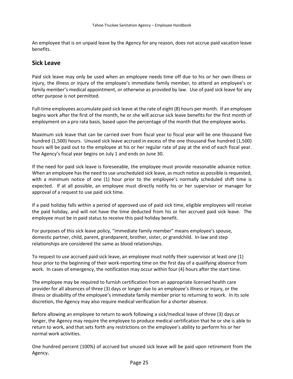An employee that is on unpaid leave by the Agency for any reason, does not accrue paid vacation leave benefits.

#### <span id="page-28-0"></span>**Sick Leave**

Paid sick leave may only be used when an employee needs time off due to his or her own illness or injury, the illness or injury of the employee's immediate family member, to attend an employee's or family member's medical appointment, or otherwise as provided by law. Use of paid sick leave for any other purpose is not permitted.

Full-time employees accumulate paid sick leave at the rate of eight (8) hours per month. If an employee begins work after the first of the month, he or she will accrue sick leave benefits for the first month of employment on a pro rata basis, based upon the percentage of the month that the employee works.

Maximum sick leave that can be carried over from fiscal year to fiscal year will be one thousand five hundred (1,500) hours. Unused sick leave accrued in excess of the one thousand five hundred (1,500) hours will be paid out to the employee at his or her regular rate of pay at the end of each fiscal year. The Agency's fiscal year begins on July 1 and ends on June 30.

If the need for paid sick leave is foreseeable, the employee must provide reasonable advance notice. When an employee has the need to use unscheduled sick leave, as much notice as possible is requested, with a minimum notice of one (1) hour prior to the employee's normally scheduled shift time is expected. If at all possible, an employee must directly notify his or her supervisor or manager for approval of a request to use paid sick time.

If a paid holiday falls within a period of approved use of paid sick time, eligible employees will receive the paid holiday, and will not have the time deducted from his or her accrued paid sick leave. The employee must be in paid status to receive this paid holiday benefit.

For purposes of this sick leave policy, "immediate family member" means employee's spouse, domestic partner, child, parent, grandparent, brother, sister, or grandchild. In-law and step relationships are considered the same as blood relationships.

To request to use accrued paid sick leave, an employee must notify their supervisor at least one (1) hour prior to the beginning of their work-reporting time on the first day of a qualifying absence from work. In cases of emergency, the notification may occur within four (4) hours after the start time.

The employee may be required to furnish certification from an appropriate licensed health care provider for all absences of three (3) days or longer due to an employee's illness or injury, or the illness or disability of the employee's immediate family member prior to returning to work. In its sole discretion, the Agency may also require medical verification for a shorter absence.

Before allowing an employee to return to work following a sick/medical leave of three (3) days or longer, the Agency may require the employee to produce medical certification that he or she is able to return to work, and that sets forth any restrictions on the employee's ability to perform his or her normal work activities.

One hundred percent (100%) of accrued but unused sick leave will be paid upon retirement from the Agency**.**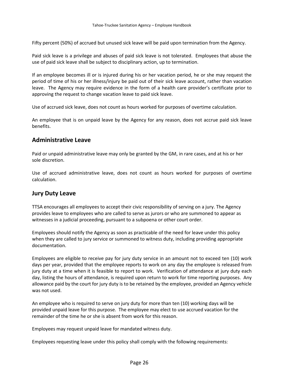Fifty percent (50%) of accrued but unused sick leave will be paid upon termination from the Agency.

Paid sick leave is a privilege and abuses of paid sick leave is not tolerated. Employees that abuse the use of paid sick leave shall be subject to disciplinary action, up to termination.

If an employee becomes ill or is injured during his or her vacation period, he or she may request the period of time of his or her illness/injury be paid out of their sick leave account, rather than vacation leave. The Agency may require evidence in the form of a health care provider's certificate prior to approving the request to change vacation leave to paid sick leave.

Use of accrued sick leave, does not count as hours worked for purposes of overtime calculation.

An employee that is on unpaid leave by the Agency for any reason, does not accrue paid sick leave benefits.

### <span id="page-29-0"></span>**Administrative Leave**

Paid or unpaid administrative leave may only be granted by the GM, in rare cases, and at his or her sole discretion.

Use of accrued administrative leave, does not count as hours worked for purposes of overtime calculation.

#### <span id="page-29-1"></span>**Jury Duty Leave**

TTSA encourages all employees to accept their civic responsibility of serving on a jury. The Agency provides leave to employees who are called to serve as jurors or who are summoned to appear as witnesses in a judicial proceeding, pursuant to a subpoena or other court order.

Employees should notify the Agency as soon as practicable of the need for leave under this policy when they are called to jury service or summoned to witness duty, including providing appropriate documentation.

Employees are eligible to receive pay for jury duty service in an amount not to exceed ten (10) work days per year, provided that the employee reports to work on any day the employee is released from jury duty at a time when it is feasible to report to work. Verification of attendance at jury duty each day, listing the hours of attendance, is required upon return to work for time reporting purposes. Any allowance paid by the court for jury duty is to be retained by the employee, provided an Agency vehicle was not used.

An employee who is required to serve on jury duty for more than ten (10) working days will be provided unpaid leave for this purpose. The employee may elect to use accrued vacation for the remainder of the time he or she is absent from work for this reason.

Employees may request unpaid leave for mandated witness duty.

Employees requesting leave under this policy shall comply with the following requirements: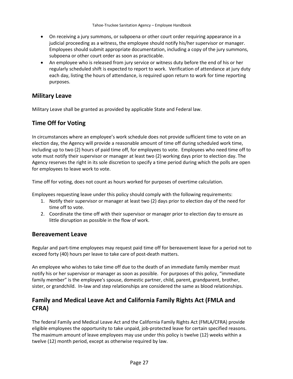- On receiving a jury summons, or subpoena or other court order requiring appearance in a judicial proceeding as a witness, the employee should notify his/her supervisor or manager. Employees should submit appropriate documentation, including a copy of the jury summons, subpoena or other court order as soon as practicable.
- An employee who is released from jury service or witness duty before the end of his or her regularly scheduled shift is expected to report to work. Verification of attendance at jury duty each day, listing the hours of attendance, is required upon return to work for time reporting purposes.

# <span id="page-30-0"></span>**Military Leave**

Military Leave shall be granted as provided by applicable State and Federal law.

# <span id="page-30-1"></span>**Time Off for Voting**

In circumstances where an employee's work schedule does not provide sufficient time to vote on an election day, the Agency will provide a reasonable amount of time off during scheduled work time, including up to two (2) hours of paid time off, for employees to vote. Employees who need time off to vote must notify their supervisor or manager at least two (2) working days prior to election day. The Agency reserves the right in its sole discretion to specify a time period during which the polls are open for employees to leave work to vote.

Time off for voting, does not count as hours worked for purposes of overtime calculation.

Employees requesting leave under this policy should comply with the following requirements:

- 1. Notify their supervisor or manager at least two (2) days prior to election day of the need for time off to vote.
- 2. Coordinate the time off with their supervisor or manager prior to election day to ensure as little disruption as possible in the flow of work.

### <span id="page-30-2"></span>**Bereavement Leave**

Regular and part-time employees may request paid time off for bereavement leave for a period not to exceed forty (40) hours per leave to take care of post-death matters.

An employee who wishes to take time off due to the death of an immediate family member must notify his or her supervisor or manager as soon as possible. For purposes of this policy, "immediate family member" is the employee's spouse, domestic partner, child, parent, grandparent, brother, sister, or grandchild. In-law and step relationships are considered the same as blood relationships.

# <span id="page-30-3"></span>**Family and Medical Leave Act and California Family Rights Act (FMLA and CFRA)**

The federal Family and Medical Leave Act and the California Family Rights Act (FMLA/CFRA) provide eligible employees the opportunity to take unpaid, job-protected leave for certain specified reasons. The maximum amount of leave employees may use under this policy is twelve (12) weeks within a twelve (12) month period, except as otherwise required by law.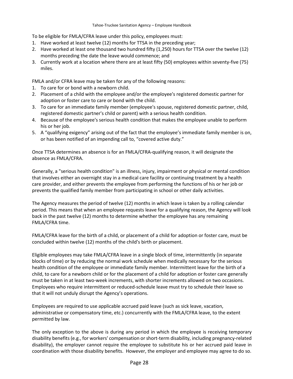To be eligible for FMLA/CFRA leave under this policy, employees must:

- 1. Have worked at least twelve (12) months for TTSA in the preceding year;
- 2. Have worked at least one thousand two hundred fifty (1,250) hours for TTSA over the twelve (12) months preceding the date the leave would commence; and
- 3. Currently work at a location where there are at least fifty (50) employees within seventy-five (75) miles.

FMLA and/or CFRA leave may be taken for any of the following reasons:

- 1. To care for or bond with a newborn child.
- 2. Placement of a child with the employee and/or the employee's registered domestic partner for adoption or foster care to care or bond with the child.
- 3. To care for an immediate family member (employee's spouse, registered domestic partner, child, registered domestic partner's child or parent) with a serious health condition.
- 4. Because of the employee's serious health condition that makes the employee unable to perform his or her job.
- 5. A "qualifying exigency" arising out of the fact that the employee's immediate family member is on, or has been notified of an impending call to, "covered active duty."

Once TTSA determines an absence is for an FMLA/CFRA-qualifying reason, it will designate the absence as FMLA/CFRA.

Generally, a "serious health condition" is an illness, injury, impairment or physical or mental condition that involves either an overnight stay in a medical care facility or continuing treatment by a health care provider, and either prevents the employee from performing the functions of his or her job or prevents the qualified family member from participating in school or other daily activities.

The Agency measures the period of twelve (12) months in which leave is taken by a rolling calendar period. This means that when an employee requests leave for a qualifying reason, the Agency will look back in the past twelve (12) months to determine whether the employee has any remaining FMLA/CFRA time.

FMLA/CFRA leave for the birth of a child, or placement of a child for adoption or foster care, must be concluded within twelve (12) months of the child's birth or placement.

Eligible employees may take FMLA/CFRA leave in a single block of time, intermittently (in separate blocks of time) or by reducing the normal work schedule when medically necessary for the serious health condition of the employee or immediate family member. Intermittent leave for the birth of a child, to care for a newborn child or for the placement of a child for adoption or foster care generally must be taken in at least two-week increments, with shorter increments allowed on two occasions. Employees who require intermittent or reduced-schedule leave must try to schedule their leave so that it will not unduly disrupt the Agency's operations.

Employees are required to use applicable accrued paid leave (such as sick leave, vacation, administrative or compensatory time, etc.) concurrently with the FMLA/CFRA leave, to the extent permitted by law.

The only exception to the above is during any period in which the employee is receiving temporary disability benefits (e.g., for workers' compensation or short-term disability, including pregnancy-related disability), the employer cannot require the employee to substitute his or her accrued paid leave in coordination with those disability benefits. However, the employer and employee may agree to do so.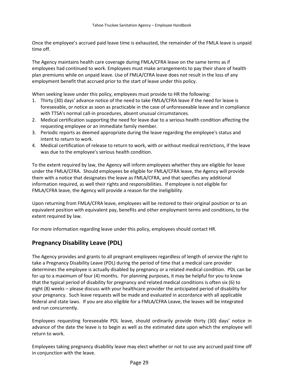Once the employee's accrued paid leave time is exhausted, the remainder of the FMLA leave is unpaid time off.

The Agency maintains health care coverage during FMLA/CFRA leave on the same terms as if employees had continued to work. Employees must make arrangements to pay their share of health plan premiums while on unpaid leave. Use of FMLA/CFRA leave does not result in the loss of any employment benefit that accrued prior to the start of leave under this policy.

When seeking leave under this policy, employees must provide to HR the following:

- 1. Thirty (30) days' advance notice of the need to take FMLA/CFRA leave if the need for leave is foreseeable, or notice as soon as practicable in the case of unforeseeable leave and in compliance with TTSA's normal call-in procedures, absent unusual circumstances.
- 2. Medical certification supporting the need for leave due to a serious health condition affecting the requesting employee or an immediate family member.
- 3. Periodic reports as deemed appropriate during the leave regarding the employee's status and intent to return to work.
- 4. Medical certification of release to return to work, with or without medical restrictions, if the leave was due to the employee's serious health condition.

To the extent required by law, the Agency will inform employees whether they are eligible for leave under the FMLA/CFRA. Should employees be eligible for FMLA/CFRA leave, the Agency will provide them with a notice that designates the leave as FMLA/CFRA, and that specifies any additional information required, as well their rights and responsibilities. If employee is not eligible for FMLA/CFRA leave, the Agency will provide a reason for the ineligibility.

Upon returning from FMLA/CFRA leave, employees will be restored to their original position or to an equivalent position with equivalent pay, benefits and other employment terms and conditions, to the extent required by law.

For more information regarding leave under this policy, employees should contact HR.

# <span id="page-32-0"></span>**Pregnancy Disability Leave (PDL)**

The Agency provides and grants to all pregnant employees regardless of length of service the right to take a Pregnancy Disability Leave (PDL) during the period of time that a medical care provider determines the employee is actually disabled by pregnancy or a related medical condition. PDL can be for up to a maximum of four (4) months. For planning purposes, it may be helpful for you to know that the typical period of disability for pregnancy and related medical conditions is often six (6) to eight (8) weeks – please discuss with your healthcare provider the anticipated period of disability for your pregnancy. Such leave requests will be made and evaluated in accordance with all applicable federal and state laws. If you are also eligible for a FMLA/CFRA Leave, the leaves will be integrated and run concurrently.

Employees requesting foreseeable PDL leave, should ordinarily provide thirty (30) days' notice in advance of the date the leave is to begin as well as the estimated date upon which the employee will return to work.

Employees taking pregnancy disability leave may elect whether or not to use any accrued paid time off in conjunction with the leave.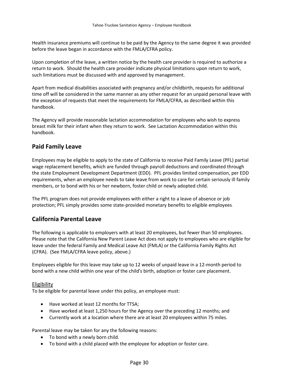Health insurance premiums will continue to be paid by the Agency to the same degree it was provided before the leave began in accordance with the FMLA/CFRA policy.

Upon completion of the leave, a written notice by the health care provider is required to authorize a return to work. Should the health care provider indicate physical limitations upon return to work, such limitations must be discussed with and approved by management.

Apart from medical disabilities associated with pregnancy and/or childbirth, requests for additional time off will be considered in the same manner as any other request for an unpaid personal leave with the exception of requests that meet the requirements for FMLA/CFRA, as described within this handbook.

The Agency will provide reasonable lactation accommodation for employees who wish to express breast milk for their infant when they return to work. See Lactation Accommodation within this handbook.

### <span id="page-33-0"></span>**Paid Family Leave**

Employees may be eligible to apply to the state of California to receive Paid Family Leave (PFL) partial wage replacement benefits, which are funded through payroll deductions and coordinated through the state Employment Development Department (EDD). PFL provides limited compensation, per EDD requirements, when an employee needs to take leave from work to care for certain seriously ill family members, or to bond with his or her newborn, foster child or newly adopted child.

The PFL program does not provide employees with either a right to a leave of absence or job protection; PFL simply provides some state-provided monetary benefits to eligible employees.

# <span id="page-33-1"></span>**California Parental Leave**

The following is applicable to employers with at least 20 employees, but fewer than 50 employees. Please note that the California New Parent Leave Act does not apply to employees who are eligible for leave under the federal Family and Medical Leave Act (FMLA) or the California Family Rights Act (CFRA). (See FMLA/CFRA leave policy, above.)

Employees eligible for this leave may take up to 12 weeks of unpaid leave in a 12-month period to bond with a new child within one year of the child's birth, adoption or foster care placement.

#### Eligibility

To be eligible for parental leave under this policy, an employee must:

- Have worked at least 12 months for TTSA;
- Have worked at least 1,250 hours for the Agency over the preceding 12 months; and
- Currently work at a location where there are at least 20 employees within 75 miles.

Parental leave may be taken for any the following reasons:

- To bond with a newly born child.
- To bond with a child placed with the employee for adoption or foster care.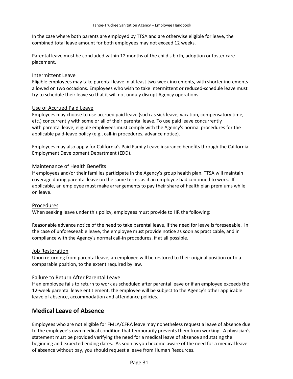In the case where both parents are employed by TTSA and are otherwise eligible for leave, the combined total leave amount for both employees may not exceed 12 weeks.

Parental leave must be concluded within 12 months of the child's birth, adoption or foster care placement.

#### Intermittent Leave

Eligible employees may take parental leave in at least two-week increments, with shorter increments allowed on two occasions. Employees who wish to take intermittent or reduced-schedule leave must try to schedule their leave so that it will not unduly disrupt Agency operations.

#### Use of Accrued Paid Leave

Employees may choose to use accrued paid leave (such as sick leave, vacation, compensatory time, etc.) concurrently with some or all of their parental leave. To use paid leave concurrently with parental leave, eligible employees must comply with the Agency's normal procedures for the applicable paid-leave policy (e.g., call-in procedures, advance notice).

Employees may also apply for California's Paid Family Leave insurance benefits through the California Employment Development Department (EDD).

#### Maintenance of Health Benefits

If employees and/or their families participate in the Agency's group health plan, TTSA will maintain coverage during parental leave on the same terms as if an employee had continued to work. If applicable, an employee must make arrangements to pay their share of health plan premiums while on leave.

#### Procedures

When seeking leave under this policy, employees must provide to HR the following:

Reasonable advance notice of the need to take parental leave, if the need for leave is foreseeable. In the case of unforeseeable leave, the employee must provide notice as soon as practicable, and in compliance with the Agency's normal call-in procedures, if at all possible.

#### Job Restoration

Upon returning from parental leave, an employee will be restored to their original position or to a comparable position, to the extent required by law.

#### Failure to Return After Parental Leave

If an employee fails to return to work as scheduled after parental leave or if an employee exceeds the 12-week parental leave entitlement, the employee will be subject to the Agency's other applicable leave of absence, accommodation and attendance policies.

### <span id="page-34-0"></span>**Medical Leave of Absence**

Employees who are not eligible for FMLA/CFRA leave may nonetheless request a leave of absence due to the employee's own medical condition that temporarily prevents them from working. A physician's statement must be provided verifying the need for a medical leave of absence and stating the beginning and expected ending dates. As soon as you become aware of the need for a medical leave of absence without pay, you should request a leave from Human Resources.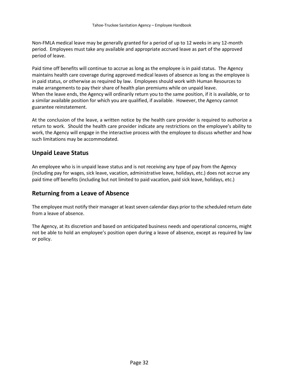Non-FMLA medical leave may be generally granted for a period of up to 12 weeks in any 12-month period. Employees must take any available and appropriate accrued leave as part of the approved period of leave.

Paid time off benefits will continue to accrue as long as the employee is in paid status. The Agency maintains health care coverage during approved medical leaves of absence as long as the employee is in paid status, or otherwise as required by law. Employees should work with Human Resources to make arrangements to pay their share of health plan premiums while on unpaid leave. When the leave ends, the Agency will ordinarily return you to the same position, if it is available, or to a similar available position for which you are qualified, if available. However, the Agency cannot guarantee reinstatement.

At the conclusion of the leave, a written notice by the health care provider is required to authorize a return to work. Should the health care provider indicate any restrictions on the employee's ability to work, the Agency will engage in the interactive process with the employee to discuss whether and how such limitations may be accommodated.

### <span id="page-35-0"></span>**Unpaid Leave Status**

An employee who is in unpaid leave status and is not receiving any type of pay from the Agency (including pay for wages, sick leave, vacation, administrative leave, holidays, etc.) does not accrue any paid time off benefits (including but not limited to paid vacation, paid sick leave, holidays, etc.)

### <span id="page-35-1"></span>**Returning from a Leave of Absence**

The employee must notify their manager at least seven calendar days prior to the scheduled return date from a leave of absence.

The Agency, at its discretion and based on anticipated business needs and operational concerns, might not be able to hold an employee's position open during a leave of absence, except as required by law or policy.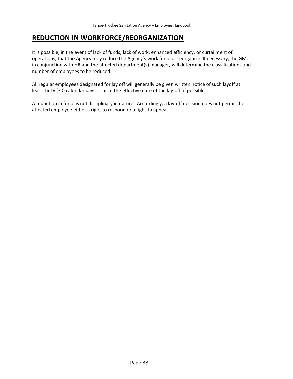# <span id="page-36-0"></span>**REDUCTION IN WORKFORCE/REORGANIZATION**

It is possible, in the event of lack of funds, lack of work, enhanced efficiency, or curtailment of operations, that the Agency may reduce the Agency's work force or reorganize. If necessary, the GM, in conjunction with HR and the affected department(s) manager, will determine the classifications and number of employees to be reduced.

All regular employees designated for lay off will generally be given written notice of such layoff at least thirty (30) calendar days prior to the effective date of the lay-off, if possible.

A reduction in force is not disciplinary in nature. Accordingly, a lay-off decision does not permit the affected employee either a right to respond or a right to appeal.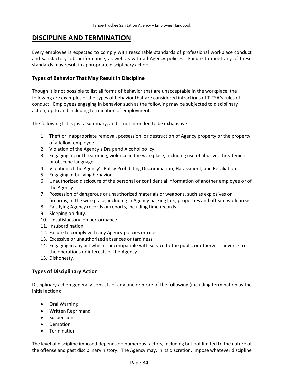# <span id="page-37-0"></span>**DISCIPLINE AND TERMINATION**

Every employee is expected to comply with reasonable standards of professional workplace conduct and satisfactory job performance, as well as with all Agency policies. Failure to meet any of these standards may result in appropriate disciplinary action.

#### **Types of Behavior That May Result in Discipline**

Though it is not possible to list all forms of behavior that are unacceptable in the workplace, the following are examples of the types of behavior that are considered infractions of T-TSA's rules of conduct. Employees engaging in behavior such as the following may be subjected to disciplinary action, up to and including termination of employment.

The following list is just a summary, and is not intended to be exhaustive:

- 1. Theft or inappropriate removal, possession, or destruction of Agency property or the property of a fellow employee.
- 2. Violation of the Agency's Drug and Alcohol policy.
- 3. Engaging in, or threatening, violence in the workplace, including use of abusive, threatening, or obscene language.
- 4. Violation of the Agency's Policy Prohibiting Discrimination, Harassment, and Retaliation.
- 5. Engaging in bullying behavior.
- 6. Unauthorized disclosure of the personal or confidential information of another employee or of the Agency.
- 7. Possession of dangerous or unauthorized materials or weapons, such as explosives or firearms, in the workplace, including in Agency parking lots, properties and off-site work areas.
- 8. Falsifying Agency records or reports, including time records.
- 9. Sleeping on duty.
- 10. Unsatisfactory job performance.
- 11. Insubordination.
- 12. Failure to comply with any Agency policies or rules.
- 13. Excessive or unauthorized absences or tardiness.
- 14. Engaging in any act which is incompatible with service to the public or otherwise adverse to the operations or interests of the Agency.
- 15. Dishonesty.

#### **Types of Disciplinary Action**

Disciplinary action generally consists of any one or more of the following (including termination as the initial action):

- Oral Warning
- Written Reprimand
- Suspension
- Demotion
- Termination

The level of discipline imposed depends on numerous factors, including but not limited to the nature of the offense and past disciplinary history. The Agency may, in its discretion, impose whatever discipline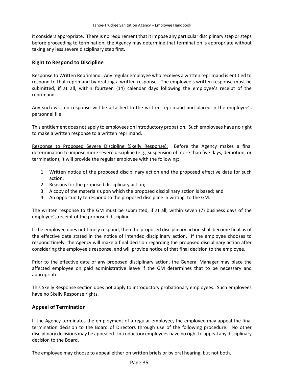it considers appropriate. There is no requirement that it impose any particular disciplinary step or steps before proceeding to termination; the Agency may determine that termination is appropriate without taking any less severe disciplinary step first.

#### **Right to Respond to Discipline**

Response to Written Reprimand. Any regular employee who receives a written reprimand is entitled to respond to that reprimand by drafting a written response. The employee's written response must be submitted, if at all, within fourteen (14) calendar days following the employee's receipt of the reprimand.

Any such written response will be attached to the written reprimand and placed in the employee's personnel file.

This entitlement does not apply to employees on introductory probation. Such employees have no right to make a written response to a written reprimand.

Response to Proposed Severe Discipline (Skelly Response). Before the Agency makes a final determination to impose more severe discipline (e.g., suspension of more than five days, demotion, or termination), it will provide the regular employee with the following:

- 1. Written notice of the proposed disciplinary action and the proposed effective date for such action;
- 2. Reasons for the proposed disciplinary action;
- 3. A copy of the materials upon which the proposed disciplinary action is based; and
- 4. An opportunity to respond to the proposed discipline in writing, to the GM.

The written response to the GM must be submitted, if at all, within seven (7) business days of the employee's receipt of the proposed discipline.

If the employee does not timely respond, then the proposed disciplinary action shall become final as of the effective date stated in the notice of intended disciplinary action. If the employee chooses to respond timely, the Agency will make a final decision regarding the proposed disciplinary action after considering the employee's response, and will provide notice of that final decision to the employee.

Prior to the effective date of any proposed disciplinary action, the General Manager may place the affected employee on paid administrative leave if the GM determines that to be necessary and appropriate.

This Skelly Response section does not apply to introductory probationary employees. Such employees have no Skelly Response rights.

#### **Appeal of Termination**

If the Agency terminates the employment of a regular employee, the employee may appeal the final termination decision to the Board of Directors through use of the following procedure. No other disciplinary decisions may be appealed. Introductory employees have no right to appeal any disciplinary decision to the Board.

The employee may choose to appeal either on written briefs or by oral hearing, but not both.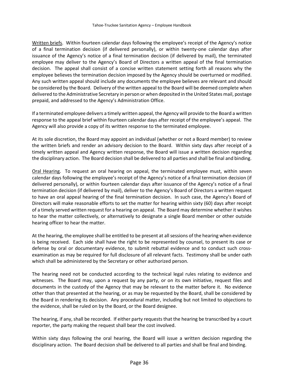Written briefs. Within fourteen calendar days following the employee's receipt of the Agency's notice of a final termination decision (if delivered personally), or within twenty-one calendar days after issuance of the Agency's notice of a final termination decision (if delivered by mail), the terminated employee may deliver to the Agency's Board of Directors a written appeal of the final termination decision. The appeal shall consist of a concise written statement setting forth all reasons why the employee believes the termination decision imposed by the Agency should be overturned or modified. Any such written appeal should include any documents the employee believes are relevant and should be considered by the Board. Delivery of the written appeal to the Board will be deemed complete when delivered to the Administrative Secretary in person or when deposited in the United States mail, postage prepaid, and addressed to the Agency's Administration Office.

If a terminated employee delivers a timely written appeal, the Agency will provide to the Board a written response to the appeal brief within fourteen calendar days after receipt of the employee's appeal. The Agency will also provide a copy of its written response to the terminated employee.

At its sole discretion, the Board may appoint an individual (whether or not a Board member) to review the written briefs and render an advisory decision to the Board. Within sixty days after receipt of a timely written appeal and Agency written response, the Board will issue a written decision regarding the disciplinary action. The Board decision shall be delivered to all parties and shall be final and binding.

Oral Hearing. To request an oral hearing on appeal, the terminated employee must, within seven calendar days following the employee's receipt of the Agency's notice of a final termination decision (if delivered personally), or within fourteen calendar days after issuance of the Agency's notice of a final termination decision (if delivered by mail), deliver to the Agency's Board of Directors a written request to have an oral appeal hearing of the final termination decision. In such case, the Agency's Board of Directors will make reasonable efforts to set the matter for hearing within sixty (60) days after receipt of a timely served written request for a hearing on appeal. The Board may determine whether it wishes to hear the matter collectively, or alternatively to designate a single Board member or other outside hearing officer to hear the matter.

At the hearing, the employee shall be entitled to be present at all sessions of the hearing when evidence is being received. Each side shall have the right to be represented by counsel, to present its case or defense by oral or documentary evidence, to submit rebuttal evidence and to conduct such crossexamination as may be required for full disclosure of all relevant facts. Testimony shall be under oath which shall be administered by the Secretary or other authorized person.

The hearing need not be conducted according to the technical legal rules relating to evidence and witnesses. The Board may, upon a request by any party, or on its own initiative, request files and documents in the custody of the Agency that may be relevant to the matter before it. No evidence other than that presented at the hearing, or as may be requested by the Board, shall be considered by the Board in rendering its decision. Any procedural matter, including but not limited to objections to the evidence, shall be ruled on by the Board, or the Board designee.

The hearing, if any, shall be recorded. If either party requests that the hearing be transcribed by a court reporter, the party making the request shall bear the cost involved.

Within sixty days following the oral hearing, the Board will issue a written decision regarding the disciplinary action. The Board decision shall be delivered to all parties and shall be final and binding.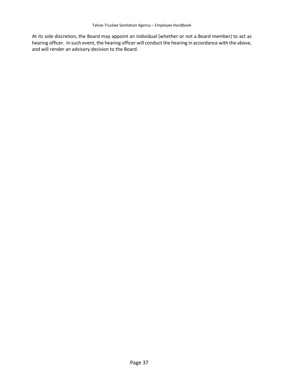At its sole discretion, the Board may appoint an individual (whether or not a Board member) to act as hearing officer. In such event, the hearing officer will conduct the hearing in accordance with the above, and will render an advisory decision to the Board.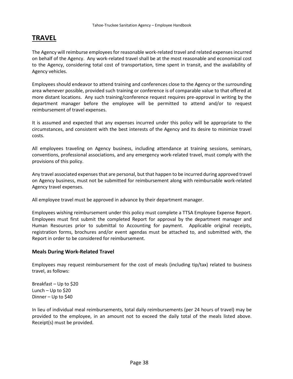# <span id="page-41-0"></span>**TRAVEL**

The Agency will reimburse employees for reasonable work-related travel and related expenses incurred on behalf of the Agency. Any work-related travel shall be at the most reasonable and economical cost to the Agency, considering total cost of transportation, time spent in transit, and the availability of Agency vehicles.

Employees should endeavor to attend training and conferences close to the Agency or the surrounding area whenever possible, provided such training or conference is of comparable value to that offered at more distant locations. Any such training/conference request requires pre-approval in writing by the department manager before the employee will be permitted to attend and/or to request reimbursement of travel expenses.

It is assumed and expected that any expenses incurred under this policy will be appropriate to the circumstances, and consistent with the best interests of the Agency and its desire to minimize travel costs.

All employees traveling on Agency business, including attendance at training sessions, seminars, conventions, professional associations, and any emergency work-related travel, must comply with the provisions of this policy.

Any travel associated expenses that are personal, but that happen to be incurred during approved travel on Agency business, must not be submitted for reimbursement along with reimbursable work-related Agency travel expenses.

All employee travel must be approved in advance by their department manager.

Employees wishing reimbursement under this policy must complete a TTSA Employee Expense Report. Employees must first submit the completed Report for approval by the department manager and Human Resources prior to submittal to Accounting for payment. Applicable original receipts, registration forms, brochures and/or event agendas must be attached to, and submitted with, the Report in order to be considered for reimbursement.

#### **Meals During Work-Related Travel**

Employees may request reimbursement for the cost of meals (including tip/tax) related to business travel, as follows:

Breakfast – Up to \$20 Lunch – Up to \$20 Dinner – Up to \$40

In lieu of individual meal reimbursements, total daily reimbursements (per 24 hours of travel) may be provided to the employee, in an amount not to exceed the daily total of the meals listed above. Receipt(s) must be provided.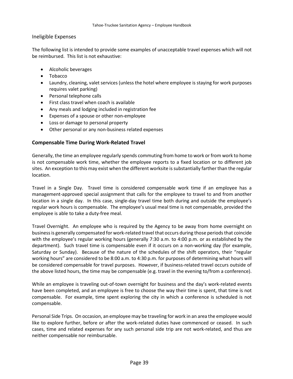#### Ineligible Expenses

The following list is intended to provide some examples of unacceptable travel expenses which will not be reimbursed. This list is not exhaustive:

- Alcoholic beverages
- Tobacco
- Laundry, cleaning, valet services (unless the hotel where employee is staying for work purposes requires valet parking)
- Personal telephone calls
- First class travel when coach is available
- Any meals and lodging included in registration fee
- Expenses of a spouse or other non-employee
- Loss or damage to personal property
- Other personal or any non-business related expenses

#### **Compensable Time During Work-Related Travel**

Generally, the time an employee regularly spends commuting from home to work or from work to home is not compensable work time, whether the employee reports to a fixed location or to different job sites. An exception to this may exist when the different worksite is substantially farther than the regular location.

Travel in a Single Day. Travel time is considered compensable work time if an employee has a management-approved special assignment that calls for the employee to travel to and from another location in a single day. In this case, single-day travel time both during and outside the employee's regular work hours is compensable. The employee's usual meal time is not compensable, provided the employee is able to take a duty-free meal.

Travel Overnight. An employee who is required by the Agency to be away from home overnight on business is generally compensated for work-related travel that occurs during those periods that coincide with the employee's regular working hours (generally 7:30 a.m. to 4:00 p.m. or as established by the department). Such travel time is compensable even if it occurs on a non-working day (for example, Saturday or Sunday). Because of the nature of the schedules of the shift operators, their "regular working hours" are considered to be 8:00 a.m. to 4:30 p.m. for purposes of determining what hours will be considered compensable for travel purposes. However, if business-related travel occurs outside of the above listed hours, the time may be compensable (e.g. travel in the evening to/from a conference).

While an employee is traveling out-of-town overnight for business and the day's work-related events have been completed, and an employee is free to choose the way their time is spent, that time is not compensable. For example, time spent exploring the city in which a conference is scheduled is not compensable.

<span id="page-42-0"></span>Personal Side Trips. On occasion, an employee may be traveling for work in an area the employee would like to explore further, before or after the work-related duties have commenced or ceased. In such cases, time and related expenses for any such personal side trip are not work-related, and thus are neither compensable nor reimbursable.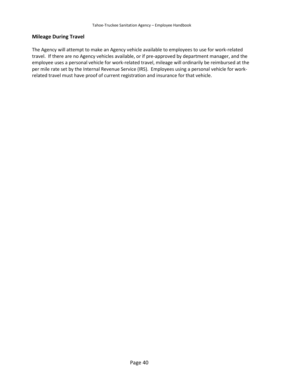#### **Mileage During Travel**

The Agency will attempt to make an Agency vehicle available to employees to use for work-related travel. If there are no Agency vehicles available, or if pre-approved by department manager, and the employee uses a personal vehicle for work-related travel, mileage will ordinarily be reimbursed at the per mile rate set by the Internal Revenue Service (IRS). Employees using a personal vehicle for workrelated travel must have proof of current registration and insurance for that vehicle.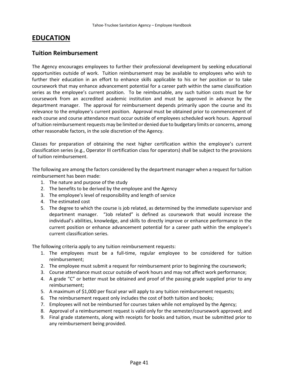# <span id="page-44-0"></span>**EDUCATION**

### **Tuition Reimbursement**

The Agency encourages employees to further their professional development by seeking educational opportunities outside of work. Tuition reimbursement may be available to employees who wish to further their education in an effort to enhance skills applicable to his or her position or to take coursework that may enhance advancement potential for a career path within the same classification series as the employee's current position. To be reimbursable, any such tuition costs must be for coursework from an accredited academic institution and must be approved in advance by the department manager. The approval for reimbursement depends primarily upon the course and its relevance to the employee's current position. Approval must be obtained prior to commencement of each course and course attendance must occur outside of employees scheduled work hours. Approval of tuition reimbursement requests may be limited or denied due to budgetary limits or concerns, among other reasonable factors, in the sole discretion of the Agency.

Classes for preparation of obtaining the next higher certification within the employee's current classification series (e.g., Operator III certification class for operators) shall be subject to the provisions of tuition reimbursement.

The following are among the factors considered by the department manager when a request for tuition reimbursement has been made:

- 1. The nature and purpose of the study
- 2. The benefits to be derived by the employee and the Agency
- 3. The employee's level of responsibility and length of service
- 4. The estimated cost
- 5. The degree to which the course is job related, as determined by the immediate supervisor and department manager. "Job related" is defined as coursework that would increase the individual's abilities, knowledge, and skills to directly improve or enhance performance in the current position or enhance advancement potential for a career path within the employee's current classification series.

The following criteria apply to any tuition reimbursement requests:

- 1. The employees must be a full-time, regular employee to be considered for tuition reimbursement;
- 2. The employee must submit a request for reimbursement prior to beginning the coursework;
- 3. Course attendance must occur outside of work hours and may not affect work performance;
- 4. A grade "C" or better must be obtained and proof of the passing grade supplied prior to any reimbursement;
- 5. A maximum of \$1,000 per fiscal year will apply to any tuition reimbursement requests;
- 6. The reimbursement request only includes the cost of both tuition and books;
- 7. Employees will not be reimbursed for courses taken while not employed by the Agency;
- 8. Approval of a reimbursement request is valid only for the semester/coursework approved; and
- 9. Final grade statements, along with receipts for books and tuition, must be submitted prior to any reimbursement being provided.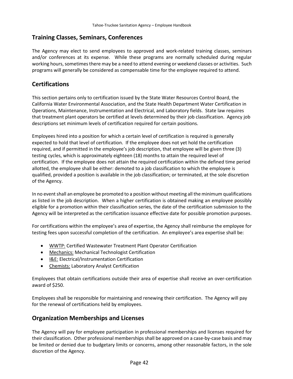### **Training Classes, Seminars, Conferences**

The Agency may elect to send employees to approved and work-related training classes, seminars and/or conferences at its expense. While these programs are normally scheduled during regular working hours, sometimes there may be a need to attend evening or weekend classes or activities. Such programs will generally be considered as compensable time for the employee required to attend.

### <span id="page-45-0"></span>**Certifications**

This section pertains only to certification issued by the State Water Resources Control Board, the California Water Environmental Association, and the State Health Department Water Certification in Operations, Maintenance, Instrumentation and Electrical, and Laboratory fields. State law requires that treatment plant operators be certified at levels determined by their job classification. Agency job descriptions set minimum levels of certification required for certain positions.

Employees hired into a position for which a certain level of certification is required is generally expected to hold that level of certification. If the employee does not yet hold the certification required, and if permitted in the employee's job description, that employee will be given three (3) testing cycles, which is approximately eighteen (18) months to attain the required level of certification. If the employee does not attain the required certification within the defined time period allotted, the employee shall be either: demoted to a job classification to which the employee is qualified, provided a position is available in the job classification; or terminated, at the sole discretion of the Agency.

In no event shall an employee be promoted to a position without meeting all the minimum qualifications as listed in the job description. When a higher certification is obtained making an employee possibly eligible for a promotion within their classification series, the date of the certification submission to the Agency will be interpreted as the certification issuance effective date for possible promotion purposes.

For certifications within the employee's area of expertise, the Agency shall reimburse the employee for testing fees upon successful completion of the certification. An employee's area expertise shall be:

- WWTP: Certified Wastewater Treatment Plant Operator Certification
- Mechanics: Mechanical Technologist Certification
- I&E: Electrical/Instrumentation Certification
- Chemists: Laboratory Analyst Certification

Employees that obtain certifications outside their area of expertise shall receive an over-certification award of \$250.

Employees shall be responsible for maintaining and renewing their certification. The Agency will pay for the renewal of certifications held by employees.

### <span id="page-45-1"></span>**Organization Memberships and Licenses**

The Agency will pay for employee participation in professional memberships and licenses required for their classification. Other professional memberships shall be approved on a case-by-case basis and may be limited or denied due to budgetary limits or concerns, among other reasonable factors, in the sole discretion of the Agency.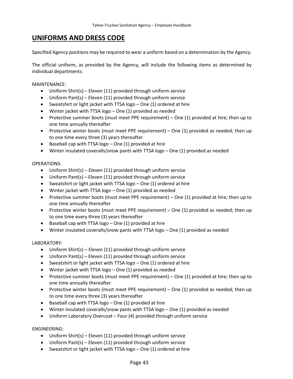# <span id="page-46-0"></span>**UNIFORMS AND DRESS CODE**

Specified Agency positions may be required to wear a uniform based on a determination by the Agency.

The official uniform, as provided by the Agency, will include the following items as determined by individual departments:

MAINTENANCE:

- Uniform Shirt(s) Eleven (11) provided through uniform service
- Uniform Pant(s) Eleven (11) provided through uniform service
- Sweatshirt or light jacket with TTSA logo One (1) ordered at hire
- Winter jacket with TTSA logo One (1) provided as needed
- Protective summer boots (must meet PPE requirement) One (1) provided at hire; then up to one time annually thereafter
- Protective winter boots (must meet PPE requirement) One (1) provided as needed; then up to one time every three (3) years thereafter
- Baseball cap with TTSA logo One (1) provided at hire
- Winter insulated coveralls/snow pants with TTSA logo One (1) provided as needed

#### OPERATIONS:

- Uniform Shirt(s) Eleven (11) provided through uniform service
- Uniform Pant(s) Eleven (11) provided through uniform service
- Sweatshirt or light jacket with TTSA logo One (1) ordered at hire
- Winter jacket with TTSA logo One (1) provided as needed
- Protective summer boots (must meet PPE requirement) One (1) provided at hire; then up to one time annually thereafter
- Protective winter boots (must meet PPE requirement) One (1) provided as needed; then up to one time every three (3) years thereafter
- Baseball cap with TTSA logo One (1) provided at hire
- Winter insulated coveralls/snow pants with TTSA logo One (1) provided as needed

#### LABORATORY:

- Uniform Shirt(s) Eleven (11) provided through uniform service
- Uniform Pant(s) Eleven (11) provided through uniform service
- Sweatshirt or light jacket with TTSA logo One (1) ordered at hire
- Winter jacket with TTSA logo One (1) provided as needed
- Protective summer boots (must meet PPE requirement) One (1) provided at hire; then up to one time annually thereafter
- Protective winter boots (must meet PPE requirement) One (1) provided as needed; then up to one time every three (3) years thereafter
- Baseball cap with TTSA logo One (1) provided at hire
- Winter insulated coveralls/snow pants with TTSA logo One (1) provided as needed
- Uniform Laboratory Overcoat Four (4) provided through uniform service

#### ENGINEERING:

- Uniform Shirt(s) Eleven (11) provided through uniform service
- Uniform Pant(s) Eleven (11) provided through uniform service
- Sweatshirt or light jacket with TTSA logo One (1) ordered at hire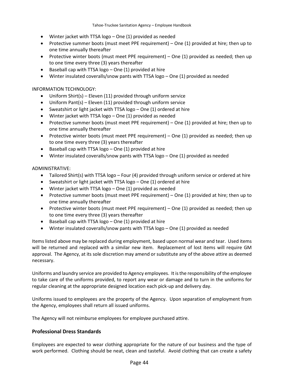- Winter jacket with TTSA logo One (1) provided as needed
- Protective summer boots (must meet PPE requirement) One (1) provided at hire; then up to one time annually thereafter
- Protective winter boots (must meet PPE requirement) One (1) provided as needed; then up to one time every three (3) years thereafter
- Baseball cap with TTSA logo  $-$  One (1) provided at hire
- Winter insulated coveralls/snow pants with TTSA logo One (1) provided as needed

#### INFORMATION TECHNOLOGY:

- Uniform Shirt(s) Eleven (11) provided through uniform service
- Uniform Pant(s) Eleven (11) provided through uniform service
- Sweatshirt or light jacket with TTSA logo One (1) ordered at hire
- Winter jacket with TTSA logo One (1) provided as needed
- Protective summer boots (must meet PPE requirement) One (1) provided at hire; then up to one time annually thereafter
- Protective winter boots (must meet PPE requirement) One (1) provided as needed; then up to one time every three (3) years thereafter
- Baseball cap with TTSA logo One (1) provided at hire
- Winter insulated coveralls/snow pants with TTSA logo One (1) provided as needed

#### ADMINISTRATIVE:

- Tailored Shirt(s) with TTSA logo Four (4) provided through uniform service or ordered at hire
- Sweatshirt or light jacket with TTSA logo One (1) ordered at hire
- Winter jacket with TTSA logo One (1) provided as needed
- Protective summer boots (must meet PPE requirement) One (1) provided at hire; then up to one time annually thereafter
- Protective winter boots (must meet PPE requirement) One (1) provided as needed; then up to one time every three (3) years thereafter
- Baseball cap with TTSA logo One (1) provided at hire
- Winter insulated coveralls/snow pants with TTSA logo One (1) provided as needed

Items listed above may be replaced during employment, based upon normal wear and tear. Used items will be returned and replaced with a similar new item. Replacement of lost items will require GM approval. The Agency, at its sole discretion may amend or substitute any of the above attire as deemed necessary.

Uniforms and laundry service are provided to Agency employees. It is the responsibility of the employee to take care of the uniforms provided, to report any wear or damage and to turn in the uniforms for regular cleaning at the appropriate designed location each pick-up and delivery day.

Uniforms issued to employees are the property of the Agency. Upon separation of employment from the Agency, employees shall return all issued uniforms.

The Agency will not reimburse employees for employee purchased attire.

#### **Professional Dress Standards**

Employees are expected to wear clothing appropriate for the nature of our business and the type of work performed. Clothing should be neat, clean and tasteful. Avoid clothing that can create a safety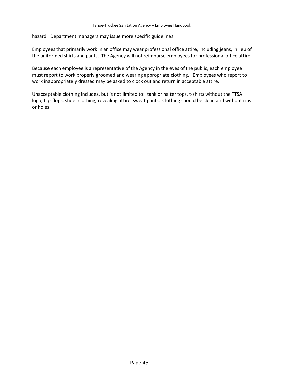hazard. Department managers may issue more specific guidelines.

Employees that primarily work in an office may wear professional office attire, including jeans, in lieu of the uniformed shirts and pants. The Agency will not reimburse employees for professional office attire.

Because each employee is a representative of the Agency in the eyes of the public, each employee must report to work properly groomed and wearing appropriate clothing. Employees who report to work inappropriately dressed may be asked to clock out and return in acceptable attire.

Unacceptable clothing includes, but is not limited to: tank or halter tops, t-shirts without the TTSA logo, flip-flops, sheer clothing, revealing attire, sweat pants. Clothing should be clean and without rips or holes.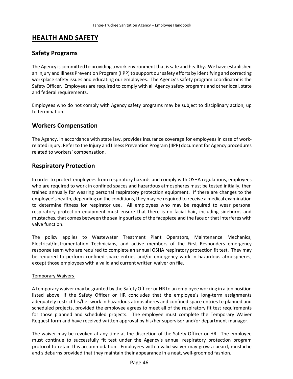# <span id="page-49-0"></span>**HEALTH AND SAFETY**

### <span id="page-49-1"></span>**Safety Programs**

The Agency is committed to providing a work environment that is safe and healthy. We have established an Injury and Illness Prevention Program (IIPP) to support our safety efforts by identifying and correcting workplace safety issues and educating our employees. The Agency's safety program coordinator is the Safety Officer. Employees are required to comply with all Agency safety programs and other local, state and federal requirements.

Employees who do not comply with Agency safety programs may be subject to disciplinary action, up to termination.

### <span id="page-49-2"></span>**Workers Compensation**

The Agency, in accordance with state law, provides insurance coverage for employees in case of workrelated injury. Refer to the Injury and Illness Prevention Program (IIPP) document for Agency procedures related to workers' compensation.

### <span id="page-49-3"></span>**Respiratory Protection**

In order to protect employees from respiratory hazards and comply with OSHA regulations, employees who are required to work in confined spaces and hazardous atmospheres must be tested initially, then trained annually for wearing personal respiratory protection equipment. If there are changes to the employee's health, depending on the conditions, they may be required to receive a medical examination to determine fitness for respirator use. All employees who may be required to wear personal respiratory protection equipment must ensure that there is no facial hair, including sideburns and mustaches, that comes between the sealing surface of the facepiece and the face or that interferes with valve function.

The policy applies to Wastewater Treatment Plant Operators, Maintenance Mechanics, Electrical/Instrumentation Technicians, and active members of the First Responders emergency response team who are required to complete an annual OSHA respiratory protection fit test. They may be required to perform confined space entries and/or emergency work in hazardous atmospheres, except those employees with a valid and current written waiver on file.

#### Temporary Waivers

A temporary waiver may be granted by the Safety Officer or HR to an employee working in a job position listed above, if the Safety Officer or HR concludes that the employee's long-term assignments adequately restrict his/her work in hazardous atmospheres and confined space entries to planned and scheduled projects, provided the employee agrees to meet all of the respiratory fit test requirements for those planned and scheduled projects. The employee must complete the Temporary Waiver Request form and have received written approval by his/her supervisor and/or department manager.

The waiver may be revoked at any time at the discretion of the Safety Officer or HR. The employee must continue to successfully fit test under the Agency's annual respiratory protection program protocol to retain this accommodation. Employees with a valid waiver may grow a beard, mustache and sideburns provided that they maintain their appearance in a neat, well-groomed fashion.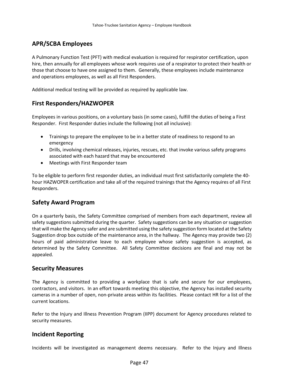### <span id="page-50-0"></span>**APR/SCBA Employees**

A Pulmonary Function Test (PFT) with medical evaluation is required for respirator certification, upon hire, then annually for all employees whose work requires use of a respirator to protect their health or those that choose to have one assigned to them. Generally, these employees include maintenance and operations employees, as well as all First Responders.

Additional medical testing will be provided as required by applicable law.

### <span id="page-50-1"></span>**First Responders/HAZWOPER**

Employees in various positions, on a voluntary basis (in some cases), fulfill the duties of being a First Responder. First Responder duties include the following (not all inclusive):

- Trainings to prepare the employee to be in a better state of readiness to respond to an emergency
- Drills, involving chemical releases, injuries, rescues, etc. that invoke various safety programs associated with each hazard that may be encountered
- Meetings with First Responder team

To be eligible to perform first responder duties, an individual must first satisfactorily complete the 40 hour HAZWOPER certification and take all of the required trainings that the Agency requires of all First Responders.

### <span id="page-50-2"></span>**Safety Award Program**

On a quarterly basis, the Safety Committee comprised of members from each department, review all safety suggestions submitted during the quarter. Safety suggestions can be any situation or suggestion that will make the Agency safer and are submitted using the safety suggestion form located at the Safety Suggestion drop box outside of the maintenance area, in the hallway. The Agency may provide two (2) hours of paid administrative leave to each employee whose safety suggestion is accepted, as determined by the Safety Committee. All Safety Committee decisions are final and may not be appealed.

#### <span id="page-50-3"></span>**Security Measures**

The Agency is committed to providing a workplace that is safe and secure for our employees, contractors, and visitors. In an effort towards meeting this objective, the Agency has installed security cameras in a number of open, non-private areas within its facilities. Please contact HR for a list of the current locations.

Refer to the Injury and Illness Prevention Program (IIPP) document for Agency procedures related to security measures.

### <span id="page-50-4"></span>**Incident Reporting**

Incidents will be investigated as management deems necessary. Refer to the Injury and Illness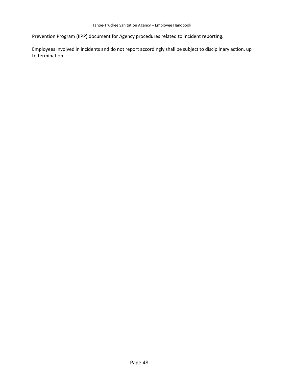Prevention Program (IIPP) document for Agency procedures related to incident reporting.

Employees involved in incidents and do not report accordingly shall be subject to disciplinary action, up to termination.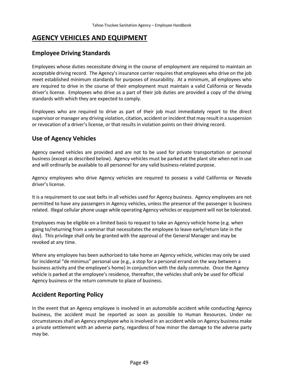# <span id="page-52-0"></span>**AGENCY VEHICLES AND EQUIPMENT**

### <span id="page-52-1"></span>**Employee Driving Standards**

Employees whose duties necessitate driving in the course of employment are required to maintain an acceptable driving record. The Agency's insurance carrier requires that employees who drive on the job meet established minimum standards for purposes of insurability. At a minimum, all employees who are required to drive in the course of their employment must maintain a valid California or Nevada driver's license. Employees who drive as a part of their job duties are provided a copy of the driving standards with which they are expected to comply.

Employees who are required to drive as part of their job must immediately report to the direct supervisor or manager any driving violation, citation, accident or incident that may result in a suspension or revocation of a driver's license, or that results in violation points on their driving record.

### <span id="page-52-2"></span>**Use of Agency Vehicles**

Agency owned vehicles are provided and are not to be used for private transportation or personal business (except as described below). Agency vehicles must be parked at the plant site when not in use and will ordinarily be available to all personnel for any valid business-related purpose.

Agency employees who drive Agency vehicles are required to possess a valid California or Nevada driver's license.

It is a requirement to use seat belts in all vehicles used for Agency business. Agency employees are not permitted to have any passengers in Agency vehicles, unless the presence of the passenger is business related. Illegal cellular phone usage while operating Agency vehicles or equipment will not be tolerated.

Employees may be eligible on a limited basis to request to take an Agency vehicle home (e.g. when going to/returning from a seminar that necessitates the employee to leave early/return late in the day). This privilege shall only be granted with the approval of the General Manager and may be revoked at any time.

Where any employee has been authorized to take home an Agency vehicle, vehicles may only be used for incidental "de minimus" personal use (e.g., a stop for a personal errand on the way between a business activity and the employee's home) in conjunction with the daily commute. Once the Agency vehicle is parked at the employee's residence, thereafter, the vehicles shall only be used for official Agency business or the return commute to place of business.

### <span id="page-52-3"></span>**Accident Reporting Policy**

In the event that an Agency employee is involved in an automobile accident while conducting Agency business, the accident must be reported as soon as possible to Human Resources. Under no circumstances shall an Agency employee who is involved in an accident while on Agency business make a private settlement with an adverse party, regardless of how minor the damage to the adverse party may be.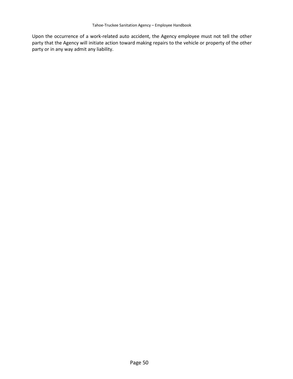Upon the occurrence of a work-related auto accident, the Agency employee must not tell the other party that the Agency will initiate action toward making repairs to the vehicle or property of the other party or in any way admit any liability.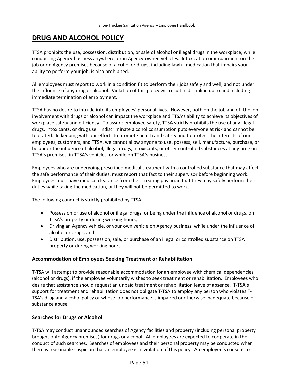# <span id="page-54-0"></span>**DRUG AND ALCOHOL POLICY**

TTSA prohibits the use, possession, distribution, or sale of alcohol or illegal drugs in the workplace, while conducting Agency business anywhere, or in Agency-owned vehicles. Intoxication or impairment on the job or on Agency premises because of alcohol or drugs, including lawful medication that impairs your ability to perform your job, is also prohibited.

All employees must report to work in a condition fit to perform their jobs safely and well, and not under the influence of any drug or alcohol. Violation of this policy will result in discipline up to and including immediate termination of employment.

TTSA has no desire to intrude into its employees' personal lives. However, both on the job and off the job involvement with drugs or alcohol can impact the workplace and TTSA's ability to achieve its objectives of workplace safety and efficiency. To assure employee safety, TTSA strictly prohibits the use of any illegal drugs, intoxicants, or drug use. Indiscriminate alcohol consumption puts everyone at risk and cannot be tolerated. In keeping with our efforts to promote health and safety and to protect the interests of our employees, customers, and TTSA, we cannot allow anyone to use, possess, sell, manufacture, purchase, or be under the influence of alcohol, illegal drugs, intoxicants, or other controlled substances at any time on TTSA's premises, in TTSA's vehicles, or while on TTSA's business.

Employees who are undergoing prescribed medical treatment with a controlled substance that may affect the safe performance of their duties, must report that fact to their supervisor before beginning work. Employees must have medical clearance from their treating physician that they may safely perform their duties while taking the medication, or they will not be permitted to work.

The following conduct is strictly prohibited by TTSA:

- Possession or use of alcohol or illegal drugs, or being under the influence of alcohol or drugs, on TTSA's property or during working hours;
- Driving an Agency vehicle, or your own vehicle on Agency business, while under the influence of alcohol or drugs; and
- Distribution, use, possession, sale, or purchase of an illegal or controlled substance on TTSA property or during working hours.

#### **Accommodation of Employees Seeking Treatment or Rehabilitation**

T-TSA will attempt to provide reasonable accommodation for an employee with chemical dependencies (alcohol or drugs), if the employee voluntarily wishes to seek treatment or rehabilitation. Employees who desire that assistance should request an unpaid treatment or rehabilitation leave of absence. T-TSA's support for treatment and rehabilitation does not obligate T-TSA to employ any person who violates T-TSA's drug and alcohol policy or whose job performance is impaired or otherwise inadequate because of substance abuse.

#### **Searches for Drugs or Alcohol**

T-TSA may conduct unannounced searches of Agency facilities and property (including personal property brought onto Agency premises) for drugs or alcohol. All employees are expected to cooperate in the conduct of such searches. Searches of employees and their personal property may be conducted when there is reasonable suspicion that an employee is in violation of this policy. An employee's consent to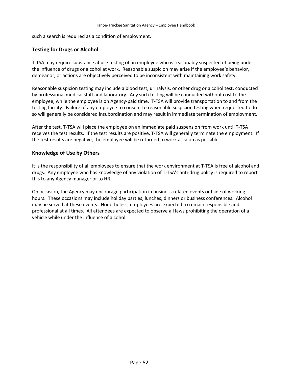such a search is required as a condition of employment.

#### **Testing for Drugs or Alcohol**

T-TSA may require substance abuse testing of an employee who is reasonably suspected of being under the influence of drugs or alcohol at work. Reasonable suspicion may arise if the employee's behavior, demeanor, or actions are objectively perceived to be inconsistent with maintaining work safety.

Reasonable suspicion testing may include a blood test, urinalysis, or other drug or alcohol test, conducted by professional medical staff and laboratory. Any such testing will be conducted without cost to the employee, while the employee is on Agency-paid time. T-TSA will provide transportation to and from the testing facility. Failure of any employee to consent to reasonable suspicion testing when requested to do so will generally be considered insubordination and may result in immediate termination of employment.

After the test, T-TSA will place the employee on an immediate paid suspension from work until T-TSA receives the test results. If the test results are positive, T-TSA will generally terminate the employment. If the test results are negative, the employee will be returned to work as soon as possible.

#### **Knowledge of Use by Others**

It is the responsibility of all employees to ensure that the work environment at T-TSA is free of alcohol and drugs. Any employee who has knowledge of any violation of T-TSA's anti-drug policy is required to report this to any Agency manager or to HR.

On occasion, the Agency may encourage participation in business-related events outside of working hours. These occasions may include holiday parties, lunches, dinners or business conferences. Alcohol may be served at these events. Nonetheless, employees are expected to remain responsible and professional at all times. All attendees are expected to observe all laws prohibiting the operation of a vehicle while under the influence of alcohol.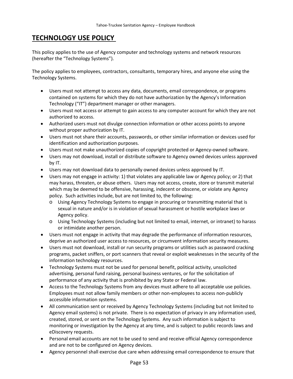# <span id="page-56-0"></span>**TECHNOLOGY USE POLICY**

This policy applies to the use of Agency computer and technology systems and network resources (hereafter the "Technology Systems").

The policy applies to employees, contractors, consultants, temporary hires, and anyone else using the Technology Systems.

- Users must not attempt to access any data, documents, email correspondence, or programs contained on systems for which they do not have authorization by the Agency's Information Technology ("IT") department manager or other managers.
- Users must not access or attempt to gain access to any computer account for which they are not authorized to access.
- Authorized users must not divulge connection information or other access points to anyone without proper authorization by IT.
- Users must not share their accounts, passwords, or other similar information or devices used for identification and authorization purposes.
- Users must not make unauthorized copies of copyright protected or Agency-owned software.
- Users may not download, install or distribute software to Agency owned devices unless approved by IT.
- Users may not download data to personally owned devices unless approved by IT.
- Users may not engage in activity: 1) that violates any applicable law or Agency policy; or 2) that may harass, threaten, or abuse others. Users may not access, create, store or transmit material which may be deemed to be offensive, harassing, indecent or obscene, or violate any Agency policy. Such activities include, but are not limited to, the following:
	- o Using Agency Technology Systems to engage in procuring or transmitting material that is sexual in nature and/or is in violation of sexual harassment or hostile workplace laws or Agency policy.
	- o Using Technology Systems (including but not limited to email, internet, or intranet) to harass or intimidate another person.
- Users must not engage in activity that may degrade the performance of information resources, deprive an authorized user access to resources, or circumvent information security measures.
- Users must not download, install or run security programs or utilities such as password cracking programs, packet sniffers, or port scanners that reveal or exploit weaknesses in the security of the information technology resources.
- Technology Systems must not be used for personal benefit, political activity, unsolicited advertising, personal fund raising, personal business ventures, or for the solicitation of performance of any activity that is prohibited by any State or Federal law.
- Access to the Technology Systems from any devices must adhere to all acceptable use policies. Employees must not allow family members or other non-employees to access non-publicly accessible information systems.
- All communication sent or received by Agency Technology Systems (including but not limited to Agency email systems) is not private. There is no expectation of privacy in any information used, created, stored, or sent on the Technology Systems. Any such information is subject to monitoring or investigation by the Agency at any time, and is subject to public records laws and eDiscovery requests.
- Personal email accounts are not to be used to send and receive official Agency correspondence and are not to be configured on Agency devices.
- Agency personnel shall exercise due care when addressing email correspondence to ensure that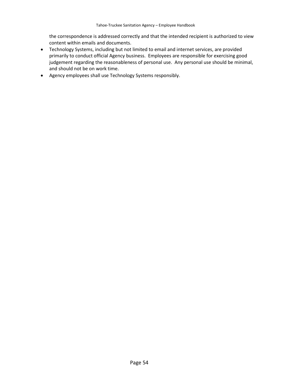the correspondence is addressed correctly and that the intended recipient is authorized to view content within emails and documents.

- Technology Systems, including but not limited to email and internet services, are provided primarily to conduct official Agency business. Employees are responsible for exercising good judgement regarding the reasonableness of personal use. Any personal use should be minimal, and should not be on work time.
- Agency employees shall use Technology Systems responsibly.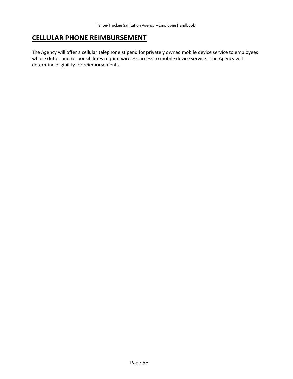# <span id="page-58-0"></span>**CELLULAR PHONE REIMBURSEMENT**

The Agency will offer a cellular telephone stipend for privately owned mobile device service to employees whose duties and responsibilities require wireless access to mobile device service. The Agency will determine eligibility for reimbursements.